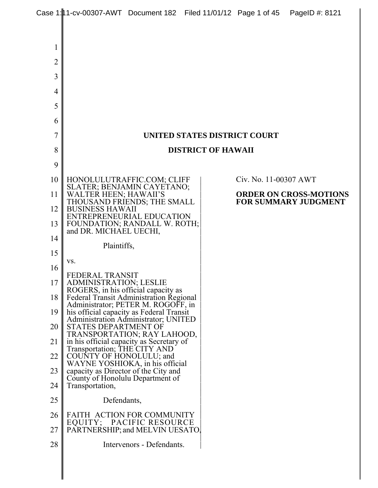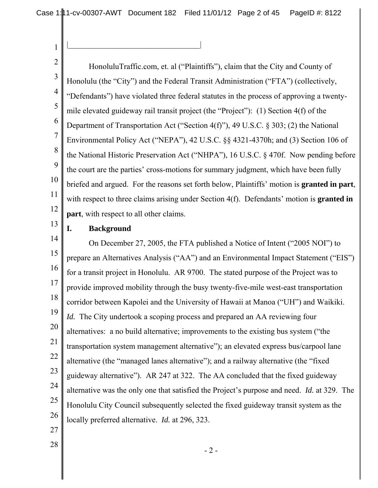Case 1: 1 1 - cv-00307-AWT Document 182 Filed 11/01/12 Page 2 of 45 PageID #: 8122

|\_\_\_\_\_\_\_\_\_\_\_\_\_\_\_\_\_\_\_\_\_\_\_\_\_\_\_\_\_\_\_\_\_|

2 3 4 5 6 7 8 9 10 11 12 HonoluluTraffic.com, et. al ("Plaintiffs"), claim that the City and County of Honolulu (the "City") and the Federal Transit Administration ("FTA") (collectively, "Defendants") have violated three federal statutes in the process of approving a twentymile elevated guideway rail transit project (the "Project"): (1) Section 4(f) of the Department of Transportation Act ("Section 4(f)"), 49 U.S.C. § 303; (2) the National Environmental Policy Act ("NEPA"), 42 U.S.C. §§ 4321-4370h; and (3) Section 106 of the National Historic Preservation Act ("NHPA"), 16 U.S.C. § 470f. Now pending before the court are the parties' cross-motions for summary judgment, which have been fully briefed and argued. For the reasons set forth below, Plaintiffs' motion is **granted in part**, with respect to three claims arising under Section 4(f). Defendants' motion is **granted in part**, with respect to all other claims.

# 13

1

# **I. Background**

14 15 16 17 18 19 20 21 22 23 24 25 26 On December 27, 2005, the FTA published a Notice of Intent ("2005 NOI") to prepare an Alternatives Analysis ("AA") and an Environmental Impact Statement ("EIS") for a transit project in Honolulu. AR 9700. The stated purpose of the Project was to provide improved mobility through the busy twenty-five-mile west-east transportation corridor between Kapolei and the University of Hawaii at Manoa ("UH") and Waikiki. *Id.* The City undertook a scoping process and prepared an AA reviewing four alternatives: a no build alternative; improvements to the existing bus system ("the transportation system management alternative"); an elevated express bus/carpool lane alternative (the "managed lanes alternative"); and a railway alternative (the "fixed guideway alternative"). AR 247 at 322. The AA concluded that the fixed guideway alternative was the only one that satisfied the Project's purpose and need. *Id.* at 329. The Honolulu City Council subsequently selected the fixed guideway transit system as the locally preferred alternative. *Id.* at 296, 323.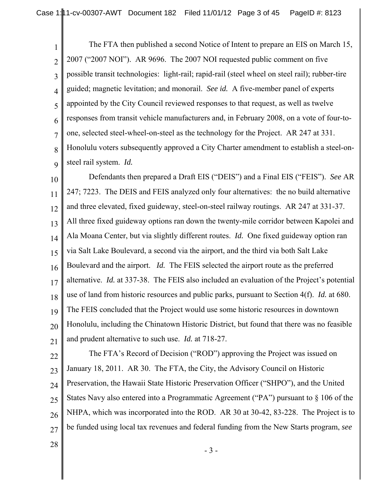1 2 3 4 5 6 7 8 9 The FTA then published a second Notice of Intent to prepare an EIS on March 15, 2007 ("2007 NOI"). AR 9696. The 2007 NOI requested public comment on five possible transit technologies: light-rail; rapid-rail (steel wheel on steel rail); rubber-tire guided; magnetic levitation; and monorail. *See id.* A five-member panel of experts appointed by the City Council reviewed responses to that request, as well as twelve responses from transit vehicle manufacturers and, in February 2008, on a vote of four-toone, selected steel-wheel-on-steel as the technology for the Project. AR 247 at 331. Honolulu voters subsequently approved a City Charter amendment to establish a steel-onsteel rail system. *Id.*

10 11 12 13 14 15 16 17 18 19 20 21 Defendants then prepared a Draft EIS ("DEIS") and a Final EIS ("FEIS"). *See* AR 247; 7223. The DEIS and FEIS analyzed only four alternatives: the no build alternative and three elevated, fixed guideway, steel-on-steel railway routings. AR 247 at 331-37. All three fixed guideway options ran down the twenty-mile corridor between Kapolei and Ala Moana Center, but via slightly different routes. *Id.* One fixed guideway option ran via Salt Lake Boulevard, a second via the airport, and the third via both Salt Lake Boulevard and the airport. *Id.* The FEIS selected the airport route as the preferred alternative. *Id.* at 337-38. The FEIS also included an evaluation of the Project's potential use of land from historic resources and public parks, pursuant to Section 4(f). *Id.* at 680. The FEIS concluded that the Project would use some historic resources in downtown Honolulu, including the Chinatown Historic District, but found that there was no feasible and prudent alternative to such use. *Id.* at 718-27.

- 22 23 24 25 26 27 The FTA's Record of Decision ("ROD") approving the Project was issued on January 18, 2011. AR 30. The FTA, the City, the Advisory Council on Historic Preservation, the Hawaii State Historic Preservation Officer ("SHPO"), and the United States Navy also entered into a Programmatic Agreement ("PA") pursuant to § 106 of the NHPA, which was incorporated into the ROD. AR 30 at 30-42, 83-228. The Project is to be funded using local tax revenues and federal funding from the New Starts program, *see*
- 28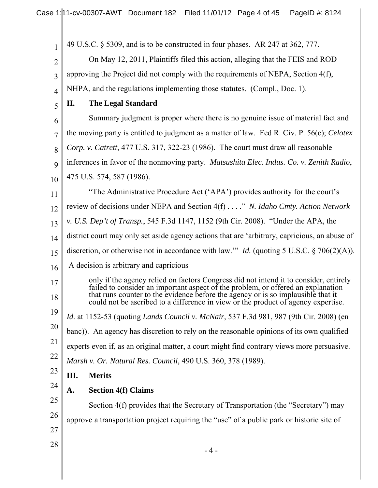49 U.S.C. § 5309, and is to be constructed in four phases. AR 247 at 362, 777.

2 3 4 On May 12, 2011, Plaintiffs filed this action, alleging that the FEIS and ROD approving the Project did not comply with the requirements of NEPA, Section 4(f), NHPA, and the regulations implementing those statutes. (Compl., Doc. 1).

5 **II. The Legal Standard**

1

6 7 Summary judgment is proper where there is no genuine issue of material fact and the moving party is entitled to judgment as a matter of law. Fed R. Civ. P. 56(c); *Celotex*

8 *Corp. v. Catrett*, 477 U.S. 317, 322-23 (1986). The court must draw all reasonable

9 inferences in favor of the nonmoving party. *Matsushita Elec. Indus. Co. v. Zenith Radio*,

- 10 475 U.S. 574, 587 (1986).
- 11 "The Administrative Procedure Act ('APA') provides authority for the court's
- 12 review of decisions under NEPA and Section 4(f) . . . ." *N. Idaho Cmty. Action Network*
- 13 *v. U.S. Dep't of Transp.*, 545 F.3d 1147, 1152 (9th Cir. 2008). "Under the APA, the
- 14 district court may only set aside agency actions that are 'arbitrary, capricious, an abuse of
- 15 discretion, or otherwise not in accordance with law.'" *Id.* (quoting 5 U.S.C. § 706(2)(A)).
- 16 A decision is arbitrary and capricious

only if the agency relied on factors Congress did not intend it to consider, entirely failed to consider an important aspect of the problem, or offered an explanation that runs counter to the evidence before the agency or is so implausible that it could not be ascribed to a difference in view or the product of agency expertise.

*Id.* at 1152-53 (quoting *Lands Council v. McNair*, 537 F.3d 981, 987 (9th Cir. 2008) (en

20 banc)). An agency has discretion to rely on the reasonable opinions of its own qualified

21 experts even if, as an original matter, a court might find contrary views more persuasive.

- 22 *Marsh v. Or. Natural Res. Council*, 490 U.S. 360, 378 (1989).
- 23 **III. Merits**
	- **A. Section 4(f) Claims**

25 26 Section 4(f) provides that the Secretary of Transportation (the "Secretary") may approve a transportation project requiring the "use" of a public park or historic site of

27 28

24

17

18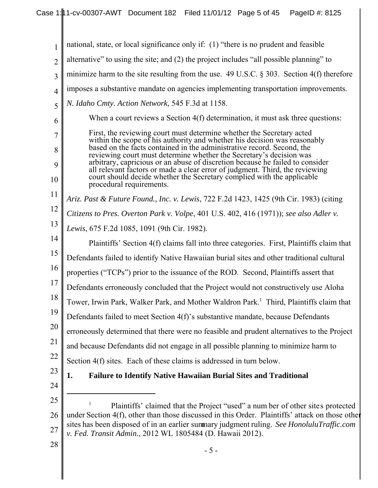| $\mathbf{1}$   | national, state, or local significance only if: (1) "there is no prudent and feasible                                                                                                                                                                               |
|----------------|---------------------------------------------------------------------------------------------------------------------------------------------------------------------------------------------------------------------------------------------------------------------|
| $\overline{2}$ | alternative" to using the site; and (2) the project includes "all possible planning" to                                                                                                                                                                             |
| $\overline{3}$ | minimize harm to the site resulting from the use. $49$ U.S.C. § 303. Section 4(f) therefore                                                                                                                                                                         |
| $\overline{4}$ | imposes a substantive mandate on agencies implementing transportation improvements.                                                                                                                                                                                 |
| 5              | N. Idaho Cmty. Action Network, 545 F.3d at 1158.                                                                                                                                                                                                                    |
| 6              | When a court reviews a Section 4(f) determination, it must ask three questions:                                                                                                                                                                                     |
| 7              | First, the reviewing court must determine whether the Secretary acted<br>within the scope of his authority and whether his decision was reasonably                                                                                                                  |
| 8              | based on the facts contained in the administrative record. Second, the<br>reviewing court must determine whether the Secretary's decision was                                                                                                                       |
| 9<br>10        | arbitrary, capricious or an abuse of discretion because he failed to consider<br>all relevant factors or made a clear error of judgment. Third, the reviewing<br>court should decide whether the Secretary complied with the applicable<br>procedural requirements. |
| 11             | Ariz. Past & Future Found., Inc. v. Lewis, 722 F.2d 1423, 1425 (9th Cir. 1983) (citing                                                                                                                                                                              |
| 12             | Citizens to Pres. Overton Park v. Volpe, 401 U.S. 402, 416 (1971)); see also Adler v.                                                                                                                                                                               |
| 13             | Lewis, 675 F.2d 1085, 1091 (9th Cir. 1982).                                                                                                                                                                                                                         |
| 14             | Plaintiffs' Section 4(f) claims fall into three categories. First, Plaintiffs claim that                                                                                                                                                                            |
| 15             | Defendants failed to identify Native Hawaiian burial sites and other traditional cultural                                                                                                                                                                           |
| 16             | properties ("TCPs") prior to the issuance of the ROD. Second, Plaintiffs assert that                                                                                                                                                                                |
| 17             | Defendants erroneously concluded that the Project would not constructively use Aloha                                                                                                                                                                                |
| 18             | Tower, Irwin Park, Walker Park, and Mother Waldron Park. <sup>1</sup> Third, Plaintiffs claim that                                                                                                                                                                  |
| 19             | Defendants failed to meet Section 4(f)'s substantive mandate, because Defendants                                                                                                                                                                                    |
| 20             | erroneously determined that there were no feasible and prudent alternatives to the Project                                                                                                                                                                          |
| 21             | and because Defendants did not engage in all possible planning to minimize harm to                                                                                                                                                                                  |
| 22             | Section 4(f) sites. Each of these claims is addressed in turn below.                                                                                                                                                                                                |
| 23             | 1.<br><b>Failure to Identify Native Hawaiian Burial Sites and Traditional</b>                                                                                                                                                                                       |
| 24             |                                                                                                                                                                                                                                                                     |
| 25             | 1<br>Plaintiffs' claimed that the Project "used" a number of other sites protected                                                                                                                                                                                  |
| 26             | under Section 4(f), other than those discussed in this Order. Plaintiffs' attack on those other<br>sites has been disposed of in an earlier summary judgment ruling. See HonoluluTraffic.com                                                                        |
| 27             | v. Fed. Transit Admin., 2012 WL 1805484 (D. Hawaii 2012).                                                                                                                                                                                                           |
| 28             | $-5-$                                                                                                                                                                                                                                                               |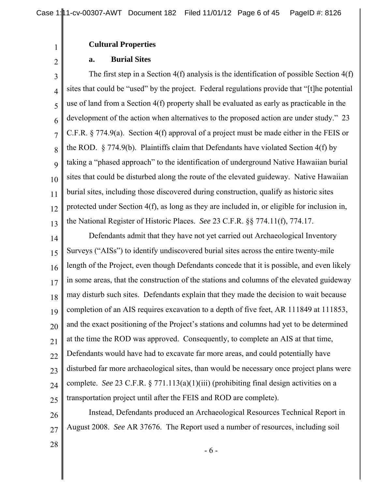### **Cultural Properties**

#### **a. Burial Sites**

1

2

3 4 5 6 7 8 9 10 11 12 13 The first step in a Section 4(f) analysis is the identification of possible Section 4(f) sites that could be "used" by the project. Federal regulations provide that "[t]he potential use of land from a Section 4(f) property shall be evaluated as early as practicable in the development of the action when alternatives to the proposed action are under study." 23 C.F.R. § 774.9(a). Section 4(f) approval of a project must be made either in the FEIS or the ROD.  $\S 774.9(b)$ . Plaintiffs claim that Defendants have violated Section 4(f) by taking a "phased approach" to the identification of underground Native Hawaiian burial sites that could be disturbed along the route of the elevated guideway. Native Hawaiian burial sites, including those discovered during construction, qualify as historic sites protected under Section 4(f), as long as they are included in, or eligible for inclusion in, the National Register of Historic Places. *See* 23 C.F.R. §§ 774.11(f), 774.17.

14 15 16 17 18 19 20 21 22 23 24 25 Defendants admit that they have not yet carried out Archaeological Inventory Surveys ("AISs") to identify undiscovered burial sites across the entire twenty-mile length of the Project, even though Defendants concede that it is possible, and even likely in some areas, that the construction of the stations and columns of the elevated guideway may disturb such sites. Defendants explain that they made the decision to wait because completion of an AIS requires excavation to a depth of five feet, AR 111849 at 111853, and the exact positioning of the Project's stations and columns had yet to be determined at the time the ROD was approved. Consequently, to complete an AIS at that time, Defendants would have had to excavate far more areas, and could potentially have disturbed far more archaeological sites, than would be necessary once project plans were complete. *See* 23 C.F.R. § 771.113(a)(1)(iii) (prohibiting final design activities on a transportation project until after the FEIS and ROD are complete).

26 27 Instead, Defendants produced an Archaeological Resources Technical Report in August 2008. *See* AR 37676. The Report used a number of resources, including soil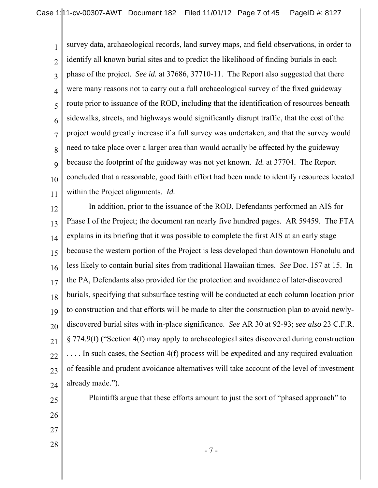1 2 3 4 5 6 7 8 9 10 11 survey data, archaeological records, land survey maps, and field observations, in order to identify all known burial sites and to predict the likelihood of finding burials in each phase of the project. *See id.* at 37686, 37710-11. The Report also suggested that there were many reasons not to carry out a full archaeological survey of the fixed guideway route prior to issuance of the ROD, including that the identification of resources beneath sidewalks, streets, and highways would significantly disrupt traffic, that the cost of the project would greatly increase if a full survey was undertaken, and that the survey would need to take place over a larger area than would actually be affected by the guideway because the footprint of the guideway was not yet known. *Id.* at 37704. The Report concluded that a reasonable, good faith effort had been made to identify resources located within the Project alignments. *Id.*

12 13 14 15 16 17 18 19 20 21 22 23 24 In addition, prior to the issuance of the ROD, Defendants performed an AIS for Phase I of the Project; the document ran nearly five hundred pages. AR 59459. The FTA explains in its briefing that it was possible to complete the first AIS at an early stage because the western portion of the Project is less developed than downtown Honolulu and less likely to contain burial sites from traditional Hawaiian times. *See* Doc. 157 at 15. In the PA, Defendants also provided for the protection and avoidance of later-discovered burials, specifying that subsurface testing will be conducted at each column location prior to construction and that efforts will be made to alter the construction plan to avoid newlydiscovered burial sites with in-place significance. *See* AR 30 at 92-93; *see also* 23 C.F.R. § 774.9(f) ("Section 4(f) may apply to archaeological sites discovered during construction .... In such cases, the Section 4(f) process will be expedited and any required evaluation of feasible and prudent avoidance alternatives will take account of the level of investment already made.").

25

Plaintiffs argue that these efforts amount to just the sort of "phased approach" to

- 26
- 27
- 28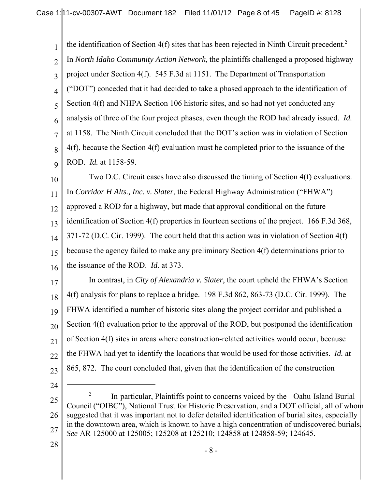1 2 3 4 5 6 7 8 9 the identification of Section 4(f) sites that has been rejected in Ninth Circuit precedent.<sup>2</sup> In *North Idaho Community Action Network*, the plaintiffs challenged a proposed highway project under Section 4(f). 545 F.3d at 1151. The Department of Transportation ("DOT") conceded that it had decided to take a phased approach to the identification of Section 4(f) and NHPA Section 106 historic sites, and so had not yet conducted any analysis of three of the four project phases, even though the ROD had already issued. *Id.* at 1158. The Ninth Circuit concluded that the DOT's action was in violation of Section 4(f), because the Section 4(f) evaluation must be completed prior to the issuance of the ROD. *Id.* at 1158-59.

10 11 12 13 14 15 16 Two D.C. Circuit cases have also discussed the timing of Section 4(f) evaluations. In *Corridor H Alts., Inc. v. Slater*, the Federal Highway Administration ("FHWA") approved a ROD for a highway, but made that approval conditional on the future identification of Section 4(f) properties in fourteen sections of the project. 166 F.3d 368, 371-72 (D.C. Cir. 1999). The court held that this action was in violation of Section 4(f) because the agency failed to make any preliminary Section 4(f) determinations prior to the issuance of the ROD. *Id.* at 373.

17 18 19 20 21 22 23 In contrast, in *City of Alexandria v. Slater*, the court upheld the FHWA's Section 4(f) analysis for plans to replace a bridge. 198 F.3d 862, 863-73 (D.C. Cir. 1999). The FHWA identified a number of historic sites along the project corridor and published a Section 4(f) evaluation prior to the approval of the ROD, but postponed the identification of Section 4(f) sites in areas where construction-related activities would occur, because the FHWA had yet to identify the locations that would be used for those activities. *Id.* at 865, 872. The court concluded that, given that the identification of the construction

24

<sup>25</sup> 26 27 <sup>2</sup> In particular, Plaintiffs point to concerns voiced by the Oahu Island Burial Council ("OIBC"), National Trust for Historic Preservation, and a DOT official, all of whom suggested that it was important not to defer detailed identification of burial sites, especially in the downtown area, which is known to have a high concentration of undiscovered burials. *See* AR 125000 at 125005; 125208 at 125210; 124858 at 124858-59; 124645.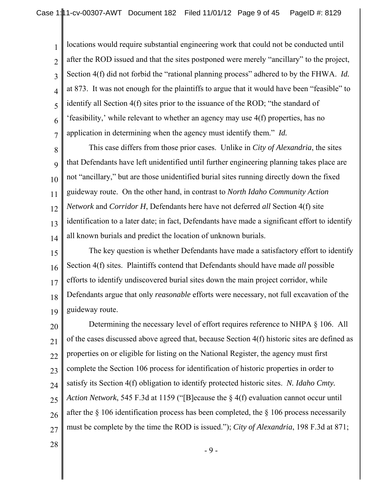1 2 3 4 5 6 7 locations would require substantial engineering work that could not be conducted until after the ROD issued and that the sites postponed were merely "ancillary" to the project, Section 4(f) did not forbid the "rational planning process" adhered to by the FHWA. *Id.* at 873. It was not enough for the plaintiffs to argue that it would have been "feasible" to identify all Section 4(f) sites prior to the issuance of the ROD; "the standard of 'feasibility,' while relevant to whether an agency may use 4(f) properties, has no application in determining when the agency must identify them." *Id.*

8 9 10 11 12 13 14 This case differs from those prior cases. Unlike in *City of Alexandria*, the sites that Defendants have left unidentified until further engineering planning takes place are not "ancillary," but are those unidentified burial sites running directly down the fixed guideway route. On the other hand, in contrast to *North Idaho Community Action Network* and *Corridor H*, Defendants here have not deferred *all* Section 4(f) site identification to a later date; in fact, Defendants have made a significant effort to identify all known burials and predict the location of unknown burials.

15 16 17 18 19 The key question is whether Defendants have made a satisfactory effort to identify Section 4(f) sites. Plaintiffs contend that Defendants should have made *all* possible efforts to identify undiscovered burial sites down the main project corridor, while Defendants argue that only *reasonable* efforts were necessary, not full excavation of the guideway route.

20 21 22 23 24 25 26 27 Determining the necessary level of effort requires reference to NHPA § 106. All of the cases discussed above agreed that, because Section 4(f) historic sites are defined as properties on or eligible for listing on the National Register, the agency must first complete the Section 106 process for identification of historic properties in order to satisfy its Section 4(f) obligation to identify protected historic sites. *N. Idaho Cmty. Action Network*, 545 F.3d at 1159 ("[B]ecause the § 4(f) evaluation cannot occur until after the § 106 identification process has been completed, the § 106 process necessarily must be complete by the time the ROD is issued."); *City of Alexandria*, 198 F.3d at 871;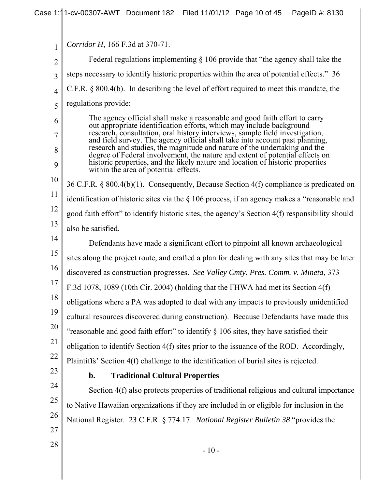|                     | Corridor H, 166 F.3d at 370-71.                                                                                                                                |
|---------------------|----------------------------------------------------------------------------------------------------------------------------------------------------------------|
| 1<br>$\overline{2}$ | Federal regulations implementing $\S$ 106 provide that "the agency shall take the                                                                              |
| 3                   | steps necessary to identify historic properties within the area of potential effects." 36                                                                      |
| $\overline{4}$      | $C.F.R. § 800.4(b)$ . In describing the level of effort required to meet this mandate, the                                                                     |
| 5                   | regulations provide:                                                                                                                                           |
| 6                   | The agency official shall make a reasonable and good faith effort to carry                                                                                     |
| 7                   | out appropriate identification efforts, which may include background<br>research, consultation, oral history interviews, sample field investigation,           |
| 8                   | and field survey. The agency official shall take into account past planning,<br>research and studies, the magnitude and nature of the undertaking and the      |
| 9                   | degree of Federal involvement, the nature and extent of potential effects on<br>historic properties, and the likely nature and location of historic properties |
| 10                  | within the area of potential effects.                                                                                                                          |
|                     | 36 C.F.R. § 800.4(b)(1). Consequently, Because Section 4(f) compliance is predicated on                                                                        |
| 11                  | identification of historic sites via the $\S$ 106 process, if an agency makes a "reasonable and                                                                |
| 12                  | good faith effort" to identify historic sites, the agency's Section 4(f) responsibility should                                                                 |
| 13                  | also be satisfied.                                                                                                                                             |
| 14                  | Defendants have made a significant effort to pinpoint all known archaeological                                                                                 |
| 15                  | sites along the project route, and crafted a plan for dealing with any sites that may be later                                                                 |
| 16                  | discovered as construction progresses. See Valley Cmty. Pres. Comm. v. Mineta, 373                                                                             |
| 17                  | F.3d 1078, 1089 (10th Cir. 2004) (holding that the FHWA had met its Section 4(f)                                                                               |
| 18                  | obligations where a PA was adopted to deal with any impacts to previously unidentified                                                                         |
| 19                  | cultural resources discovered during construction). Because Defendants have made this                                                                          |
| 20                  | "reasonable and good faith effort" to identify § 106 sites, they have satisfied their                                                                          |
| 21                  | obligation to identify Section 4(f) sites prior to the issuance of the ROD. Accordingly,                                                                       |
| 22                  | Plaintiffs' Section 4(f) challenge to the identification of burial sites is rejected.                                                                          |
| 23                  | <b>Traditional Cultural Properties</b><br>b.                                                                                                                   |
| 24                  | Section 4(f) also protects properties of traditional religious and cultural importance                                                                         |
| 25                  | to Native Hawaiian organizations if they are included in or eligible for inclusion in the                                                                      |
| 26                  | National Register. 23 C.F.R. § 774.17. National Register Bulletin 38 "provides the                                                                             |
| 27                  |                                                                                                                                                                |
| 28                  | $-10-$                                                                                                                                                         |
|                     |                                                                                                                                                                |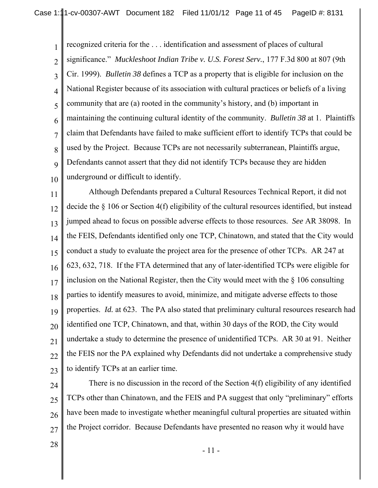1 2 3 4 5 6 7 8 9 10 recognized criteria for the . . . identification and assessment of places of cultural significance." *Muckleshoot Indian Tribe v. U.S. Forest Serv.*, 177 F.3d 800 at 807 (9th Cir. 1999). *Bulletin 38* defines a TCP as a property that is eligible for inclusion on the National Register because of its association with cultural practices or beliefs of a living community that are (a) rooted in the community's history, and (b) important in maintaining the continuing cultural identity of the community. *Bulletin 38* at 1. Plaintiffs claim that Defendants have failed to make sufficient effort to identify TCPs that could be used by the Project. Because TCPs are not necessarily subterranean, Plaintiffs argue, Defendants cannot assert that they did not identify TCPs because they are hidden underground or difficult to identify.

11 12 13 14 15 16 17 18 19 20 21 22 23 Although Defendants prepared a Cultural Resources Technical Report, it did not decide the § 106 or Section 4(f) eligibility of the cultural resources identified, but instead jumped ahead to focus on possible adverse effects to those resources. *See* AR 38098. In the FEIS, Defendants identified only one TCP, Chinatown, and stated that the City would conduct a study to evaluate the project area for the presence of other TCPs. AR 247 at 623, 632, 718. If the FTA determined that any of later-identified TCPs were eligible for inclusion on the National Register, then the City would meet with the § 106 consulting parties to identify measures to avoid, minimize, and mitigate adverse effects to those properties. *Id.* at 623. The PA also stated that preliminary cultural resources research had identified one TCP, Chinatown, and that, within 30 days of the ROD, the City would undertake a study to determine the presence of unidentified TCPs. AR 30 at 91. Neither the FEIS nor the PA explained why Defendants did not undertake a comprehensive study to identify TCPs at an earlier time.

24 25 26 27 There is no discussion in the record of the Section 4(f) eligibility of any identified TCPs other than Chinatown, and the FEIS and PA suggest that only "preliminary" efforts have been made to investigate whether meaningful cultural properties are situated within the Project corridor. Because Defendants have presented no reason why it would have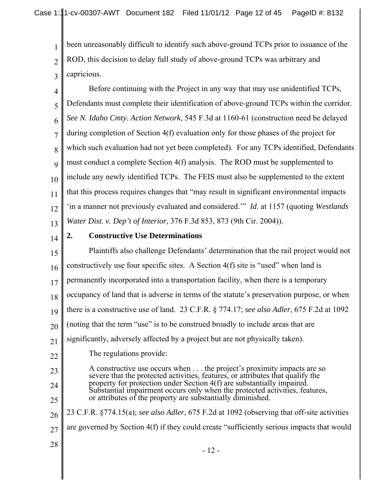3 been unreasonably difficult to identify such above-ground TCPs prior to issuance of the ROD, this decision to delay full study of above-ground TCPs was arbitrary and capricious.

4 5 6 7 8 9 10 11 12 13 Before continuing with the Project in any way that may use unidentified TCPs, Defendants must complete their identification of above-ground TCPs within the corridor. *See N. Idaho Cmty. Action Network*, 545 F.3d at 1160-61 (construction need be delayed during completion of Section 4(f) evaluation only for those phases of the project for which such evaluation had not yet been completed). For any TCPs identified, Defendants must conduct a complete Section 4(f) analysis. The ROD must be supplemented to include any newly identified TCPs. The FEIS must also be supplemented to the extent that this process requires changes that "may result in significant environmental impacts 'in a manner not previously evaluated and considered.'" *Id*. at 1157 (quoting *Westlands Water Dist. v. Dep't of Interior*, 376 F.3d 853, 873 (9th Cir. 2004)).

14

1

2

# **2. Constructive Use Determinations**

15 16 17 18 19 20 21 22 23 24 25 26 27 28 Plaintiffs also challenge Defendants' determination that the rail project would not constructively use four specific sites. A Section 4(f) site is "used" when land is permanently incorporated into a transportation facility, when there is a temporary occupancy of land that is adverse in terms of the statute's preservation purpose, or when there is a constructive use of land. 23 C.F.R. § 774.17; *see also Adler*, 675 F.2d at 1092 (noting that the term "use" is to be construed broadly to include areas that are significantly, adversely affected by a project but are not physically taken). The regulations provide: A constructive use occurs when . . . the project's proximity impacts are so severe that the protected activities, features, or attributes that qualify the property for protection under Section 4(f) are substantially impaired. Substantial impairment occurs only when the protected activities, features, or attributes of the property are substantially diminished. 23 C.F.R. §774.15(a); *see also Adler*, 675 F.2d at 1092 (observing that off-site activities are governed by Section 4(f) if they could create "sufficiently serious impacts that would

- 12 -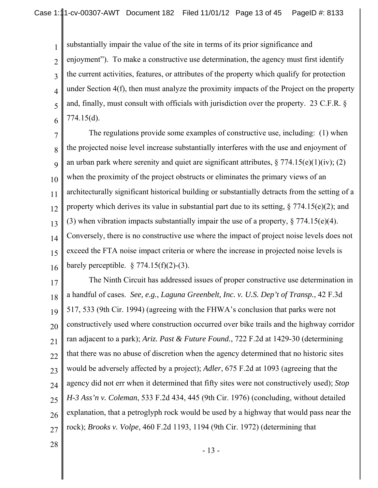substantially impair the value of the site in terms of its prior significance and

2 3 4 5 6 enjoyment"). To make a constructive use determination, the agency must first identify the current activities, features, or attributes of the property which qualify for protection under Section 4(f), then must analyze the proximity impacts of the Project on the property and, finally, must consult with officials with jurisdiction over the property. 23 C.F.R. § 774.15(d).

7 8 9 10 11 12 13 14 15 16 The regulations provide some examples of constructive use, including: (1) when the projected noise level increase substantially interferes with the use and enjoyment of an urban park where serenity and quiet are significant attributes,  $\S 774.15(e)(1)(iv)$ ; (2) when the proximity of the project obstructs or eliminates the primary views of an architecturally significant historical building or substantially detracts from the setting of a property which derives its value in substantial part due to its setting,  $\S 774.15(e)(2)$ ; and (3) when vibration impacts substantially impair the use of a property,  $\S 774.15(e)(4)$ . Conversely, there is no constructive use where the impact of project noise levels does not exceed the FTA noise impact criteria or where the increase in projected noise levels is barely perceptible.  $\frac{6}{774.15(f)(2)-(3)}$ .

17 18 19 20 21 22 23 24 25 26 27 The Ninth Circuit has addressed issues of proper constructive use determination in a handful of cases. *See, e.g.*, *Laguna Greenbelt, Inc. v. U.S. Dep't of Transp.*, 42 F.3d 517, 533 (9th Cir. 1994) (agreeing with the FHWA's conclusion that parks were not constructively used where construction occurred over bike trails and the highway corridor ran adjacent to a park); *Ariz. Past & Future Found.*, 722 F.2d at 1429-30 (determining that there was no abuse of discretion when the agency determined that no historic sites would be adversely affected by a project); *Adler*, 675 F.2d at 1093 (agreeing that the agency did not err when it determined that fifty sites were not constructively used); *Stop H-3 Ass'n v. Coleman*, 533 F.2d 434, 445 (9th Cir. 1976) (concluding, without detailed explanation, that a petroglyph rock would be used by a highway that would pass near the rock); *Brooks v. Volpe*, 460 F.2d 1193, 1194 (9th Cir. 1972) (determining that

28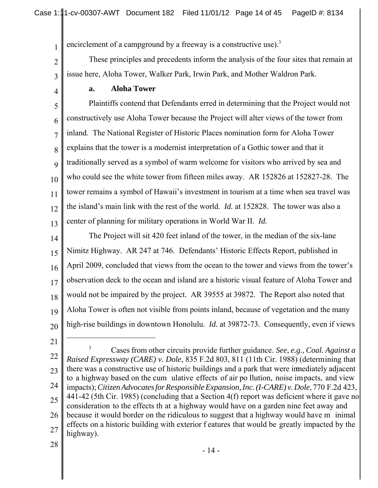encirclement of a campground by a freeway is a constructive use).<sup>3</sup>

These principles and precedents inform the analysis of the four sites that remain at issue here, Aloha Tower, Walker Park, Irwin Park, and Mother Waldron Park.

**a. Aloha Tower**

5 6 7 8 9 10 11 12 13 Plaintiffs contend that Defendants erred in determining that the Project would not constructively use Aloha Tower because the Project will alter views of the tower from inland. The National Register of Historic Places nomination form for Aloha Tower explains that the tower is a modernist interpretation of a Gothic tower and that it traditionally served as a symbol of warm welcome for visitors who arrived by sea and who could see the white tower from fifteen miles away. AR 152826 at 152827-28. The tower remains a symbol of Hawaii's investment in tourism at a time when sea travel was the island's main link with the rest of the world. *Id.* at 152828. The tower was also a center of planning for military operations in World War II. *Id.*

14 15 16 17 18 19 20 The Project will sit 420 feet inland of the tower, in the median of the six-lane Nimitz Highway. AR 247 at 746. Defendants' Historic Effects Report, published in April 2009, concluded that views from the ocean to the tower and views from the tower's observation deck to the ocean and island are a historic visual feature of Aloha Tower and would not be impaired by the project. AR 39555 at 39872. The Report also noted that Aloha Tower is often not visible from points inland, because of vegetation and the many high-rise buildings in downtown Honolulu. *Id.* at 39872-73. Consequently, even if views

21

1

2

3

4

22 23 24 25 26 27 <sup>3</sup> Cases from other circuits provide further guidance. *See, e.g.*, *Coal. Against a Raised Expressway (CARE) v. Dole*, 835 F.2d 803, 811 (11th Cir. 1988) (determining that there was a constructive use of historic buildings and a park that were immediately adjacent to a highway based on the cum ulative effects of air po llution, noise impacts, and view impacts); *Citizen Advocates for Responsible Expansion, Inc. (I-CARE) v. Dole*, 770 F.2d 423, 441-42 (5th Cir. 1985) (concluding that a Section 4(f) report was deficient where it gave no consideration to the effects th at a highway would have on a garden nine feet away and because it would border on the ridiculous to suggest that a highway would have m inimal effects on a historic building with exterior f eatures that would be greatly impacted by the highway).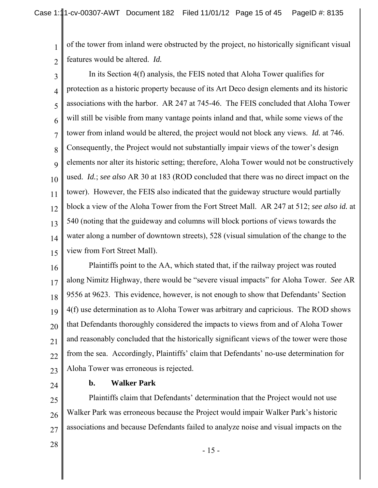1 2 of the tower from inland were obstructed by the project, no historically significant visual features would be altered. *Id.*

3 4 5 6 7 8 9 10 11 12 13 14 15 In its Section 4(f) analysis, the FEIS noted that Aloha Tower qualifies for protection as a historic property because of its Art Deco design elements and its historic associations with the harbor. AR 247 at 745-46. The FEIS concluded that Aloha Tower will still be visible from many vantage points inland and that, while some views of the tower from inland would be altered, the project would not block any views. *Id.* at 746. Consequently, the Project would not substantially impair views of the tower's design elements nor alter its historic setting; therefore, Aloha Tower would not be constructively used. *Id.*; *see also* AR 30 at 183 (ROD concluded that there was no direct impact on the tower). However, the FEIS also indicated that the guideway structure would partially block a view of the Aloha Tower from the Fort Street Mall. AR 247 at 512; *see also id.* at 540 (noting that the guideway and columns will block portions of views towards the water along a number of downtown streets), 528 (visual simulation of the change to the view from Fort Street Mall).

16 17 18 19 20 21 22 23 Plaintiffs point to the AA, which stated that, if the railway project was routed along Nimitz Highway, there would be "severe visual impacts" for Aloha Tower. *See* AR 9556 at 9623. This evidence, however, is not enough to show that Defendants' Section 4(f) use determination as to Aloha Tower was arbitrary and capricious. The ROD shows that Defendants thoroughly considered the impacts to views from and of Aloha Tower and reasonably concluded that the historically significant views of the tower were those from the sea. Accordingly, Plaintiffs' claim that Defendants' no-use determination for Aloha Tower was erroneous is rejected.

24

#### **b. Walker Park**

25 26 27 Plaintiffs claim that Defendants' determination that the Project would not use Walker Park was erroneous because the Project would impair Walker Park's historic associations and because Defendants failed to analyze noise and visual impacts on the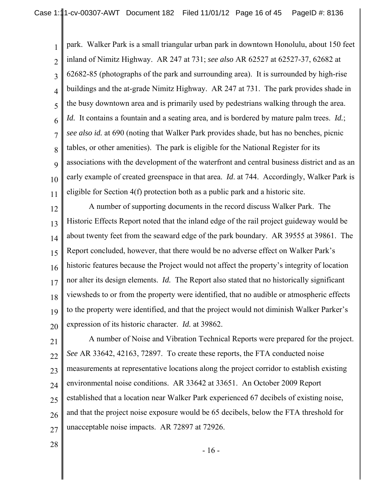1 2 3 4 5 6 7 8 9 10 11 park. Walker Park is a small triangular urban park in downtown Honolulu, about 150 feet inland of Nimitz Highway. AR 247 at 731; *see also* AR 62527 at 62527-37, 62682 at 62682-85 (photographs of the park and surrounding area). It is surrounded by high-rise buildings and the at-grade Nimitz Highway. AR 247 at 731.The park provides shade in the busy downtown area and is primarily used by pedestrians walking through the area. *Id.* It contains a fountain and a seating area, and is bordered by mature palm trees. *Id.*; *see also id.* at 690 (noting that Walker Park provides shade, but has no benches, picnic tables, or other amenities). The park is eligible for the National Register for its associations with the development of the waterfront and central business district and as an early example of created greenspace in that area. *Id*. at 744. Accordingly, Walker Park is eligible for Section 4(f) protection both as a public park and a historic site.

12 13 14 15 16 17 18 19 20 A number of supporting documents in the record discuss Walker Park. The Historic Effects Report noted that the inland edge of the rail project guideway would be about twenty feet from the seaward edge of the park boundary. AR 39555 at 39861. The Report concluded, however, that there would be no adverse effect on Walker Park's historic features because the Project would not affect the property's integrity of location nor alter its design elements. *Id.* The Report also stated that no historically significant viewsheds to or from the property were identified, that no audible or atmospheric effects to the property were identified, and that the project would not diminish Walker Parker's expression of its historic character. *Id.* at 39862.

21 22 23 24 25 26 27 A number of Noise and Vibration Technical Reports were prepared for the project. *See* AR 33642, 42163, 72897. To create these reports, the FTA conducted noise measurements at representative locations along the project corridor to establish existing environmental noise conditions. AR 33642 at 33651. An October 2009 Report established that a location near Walker Park experienced 67 decibels of existing noise, and that the project noise exposure would be 65 decibels, below the FTA threshold for unacceptable noise impacts. AR 72897 at 72926.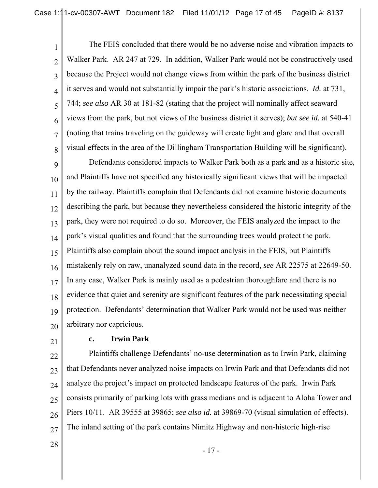1 2 3 4 5 6 7 8 The FEIS concluded that there would be no adverse noise and vibration impacts to Walker Park. AR 247 at 729. In addition, Walker Park would not be constructively used because the Project would not change views from within the park of the business district it serves and would not substantially impair the park's historic associations. *Id.* at 731, 744; *see also* AR 30 at 181-82 (stating that the project will nominally affect seaward views from the park, but not views of the business district it serves); *but see id.* at 540-41 (noting that trains traveling on the guideway will create light and glare and that overall visual effects in the area of the Dillingham Transportation Building will be significant).

9 10 11 12 13 14 15 16 17 18 19 20 Defendants considered impacts to Walker Park both as a park and as a historic site, and Plaintiffs have not specified any historically significant views that will be impacted by the railway. Plaintiffs complain that Defendants did not examine historic documents describing the park, but because they nevertheless considered the historic integrity of the park, they were not required to do so. Moreover, the FEIS analyzed the impact to the park's visual qualities and found that the surrounding trees would protect the park. Plaintiffs also complain about the sound impact analysis in the FEIS, but Plaintiffs mistakenly rely on raw, unanalyzed sound data in the record, *see* AR 22575 at 22649-50. In any case, Walker Park is mainly used as a pedestrian thoroughfare and there is no evidence that quiet and serenity are significant features of the park necessitating special protection. Defendants' determination that Walker Park would not be used was neither arbitrary nor capricious.

21

# **c. Irwin Park**

22 23 24 25 26 27 Plaintiffs challenge Defendants' no-use determination as to Irwin Park, claiming that Defendants never analyzed noise impacts on Irwin Park and that Defendants did not analyze the project's impact on protected landscape features of the park. Irwin Park consists primarily of parking lots with grass medians and is adjacent to Aloha Tower and Piers 10/11. AR 39555 at 39865; *see also id.* at 39869-70 (visual simulation of effects). The inland setting of the park contains Nimitz Highway and non-historic high-rise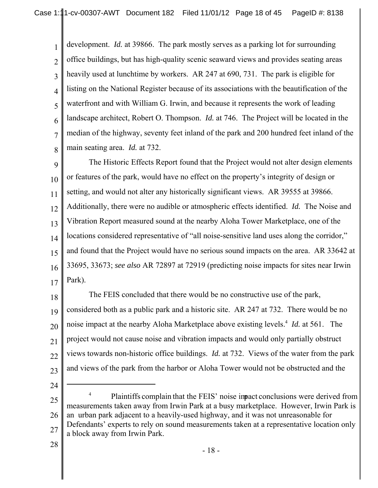1 2 3 4 5 6 7 8 development. *Id.* at 39866. The park mostly serves as a parking lot for surrounding office buildings, but has high-quality scenic seaward views and provides seating areas heavily used at lunchtime by workers. AR 247 at 690, 731. The park is eligible for listing on the National Register because of its associations with the beautification of the waterfront and with William G. Irwin, and because it represents the work of leading landscape architect, Robert O. Thompson. *Id.* at 746. The Project will be located in the median of the highway, seventy feet inland of the park and 200 hundred feet inland of the main seating area. *Id.* at 732.

9 10 11 12 13 14 15 16 17 The Historic Effects Report found that the Project would not alter design elements or features of the park, would have no effect on the property's integrity of design or setting, and would not alter any historically significant views. AR 39555 at 39866. Additionally, there were no audible or atmospheric effects identified. *Id.* The Noise and Vibration Report measured sound at the nearby Aloha Tower Marketplace, one of the locations considered representative of "all noise-sensitive land uses along the corridor," and found that the Project would have no serious sound impacts on the area. AR 33642 at 33695, 33673; *see also* AR 72897 at 72919 (predicting noise impacts for sites near Irwin Park).

18 19 20 21 22 23 The FEIS concluded that there would be no constructive use of the park, considered both as a public park and a historic site. AR 247 at 732. There would be no noise impact at the nearby Aloha Marketplace above existing levels.4 *Id.* at 561. The project would not cause noise and vibration impacts and would only partially obstruct views towards non-historic office buildings. *Id.* at 732. Views of the water from the park and views of the park from the harbor or Aloha Tower would not be obstructed and the

24

<sup>25</sup> 26 27 <sup>4</sup> Plaintiffs complain that the FEIS' noise inpact conclusions were derived from measurements taken away from Irwin Park at a busy marketplace. However, Irwin Park is an urban park adjacent to a heavily-used highway, and it was not unreasonable for Defendants' experts to rely on sound measurements taken at a representative location only a block away from Irwin Park.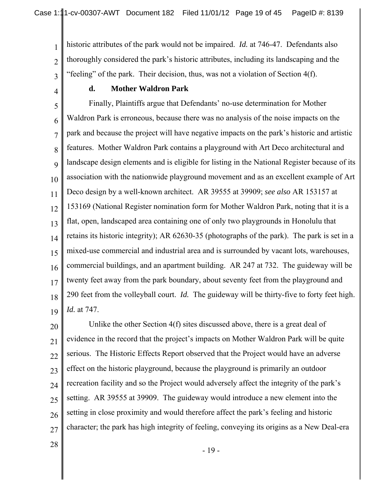historic attributes of the park would not be impaired. *Id.* at 746-47. Defendants also thoroughly considered the park's historic attributes, including its landscaping and the "feeling" of the park. Their decision, thus, was not a violation of Section 4(f).

4

3

1

2

# **d. Mother Waldron Park**

5 6 7 8 9 10 11 12 13 14 15 16 17 18 19 Finally, Plaintiffs argue that Defendants' no-use determination for Mother Waldron Park is erroneous, because there was no analysis of the noise impacts on the park and because the project will have negative impacts on the park's historic and artistic features. Mother Waldron Park contains a playground with Art Deco architectural and landscape design elements and is eligible for listing in the National Register because of its association with the nationwide playground movement and as an excellent example of Art Deco design by a well-known architect. AR 39555 at 39909; *see also* AR 153157 at 153169 (National Register nomination form for Mother Waldron Park, noting that it is a flat, open, landscaped area containing one of only two playgrounds in Honolulu that retains its historic integrity); AR 62630-35 (photographs of the park). The park is set in a mixed-use commercial and industrial area and is surrounded by vacant lots, warehouses, commercial buildings, and an apartment building. AR 247 at 732. The guideway will be twenty feet away from the park boundary, about seventy feet from the playground and 290 feet from the volleyball court. *Id.* The guideway will be thirty-five to forty feet high. *Id.* at 747.

20 21 22 23 24 25 26 27 Unlike the other Section 4(f) sites discussed above, there is a great deal of evidence in the record that the project's impacts on Mother Waldron Park will be quite serious. The Historic Effects Report observed that the Project would have an adverse effect on the historic playground, because the playground is primarily an outdoor recreation facility and so the Project would adversely affect the integrity of the park's setting. AR 39555 at 39909. The guideway would introduce a new element into the setting in close proximity and would therefore affect the park's feeling and historic character; the park has high integrity of feeling, conveying its origins as a New Deal-era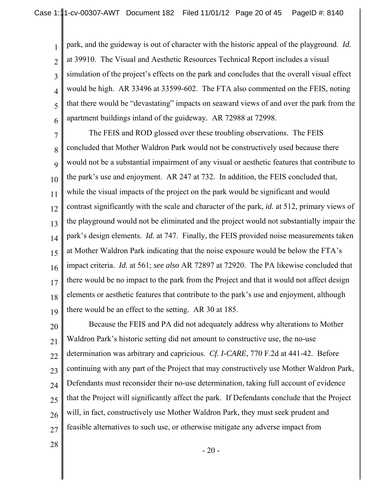1 2 3 4 5 6 park, and the guideway is out of character with the historic appeal of the playground. *Id.* at 39910. The Visual and Aesthetic Resources Technical Report includes a visual simulation of the project's effects on the park and concludes that the overall visual effect would be high. AR 33496 at 33599-602. The FTA also commented on the FEIS, noting that there would be "devastating" impacts on seaward views of and over the park from the apartment buildings inland of the guideway. AR 72988 at 72998.

7 8 9 10 11 12 13 14 15 16 17 18 19 The FEIS and ROD glossed over these troubling observations. The FEIS concluded that Mother Waldron Park would not be constructively used because there would not be a substantial impairment of any visual or aesthetic features that contribute to the park's use and enjoyment. AR 247 at 732. In addition, the FEIS concluded that, while the visual impacts of the project on the park would be significant and would contrast significantly with the scale and character of the park, *id.* at 512, primary views of the playground would not be eliminated and the project would not substantially impair the park's design elements. *Id.* at 747. Finally, the FEIS provided noise measurements taken at Mother Waldron Park indicating that the noise exposure would be below the FTA's impact criteria. *Id.* at 561; *see also* AR 72897 at 72920. The PA likewise concluded that there would be no impact to the park from the Project and that it would not affect design elements or aesthetic features that contribute to the park's use and enjoyment, although there would be an effect to the setting. AR 30 at 185.

20 21 22 23 24 25 26 27 Because the FEIS and PA did not adequately address why alterations to Mother Waldron Park's historic setting did not amount to constructive use, the no-use determination was arbitrary and capricious. *Cf. I-CARE*, 770 F.2d at 441-42. Before continuing with any part of the Project that may constructively use Mother Waldron Park, Defendants must reconsider their no-use determination, taking full account of evidence that the Project will significantly affect the park. If Defendants conclude that the Project will, in fact, constructively use Mother Waldron Park, they must seek prudent and feasible alternatives to such use, or otherwise mitigate any adverse impact from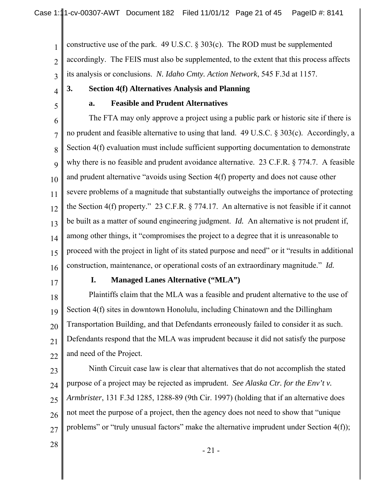1 2 3 constructive use of the park. 49 U.S.C.  $\S 303(c)$ . The ROD must be supplemented accordingly. The FEIS must also be supplemented, to the extent that this process affects its analysis or conclusions. *N. Idaho Cmty. Action Network*, 545 F.3d at 1157.

# **3. Section 4(f) Alternatives Analysis and Planning**

5

4

# **a. Feasible and Prudent Alternatives**

6 7 8 9 10 11 12 13 14 15 16 The FTA may only approve a project using a public park or historic site if there is no prudent and feasible alternative to using that land. 49 U.S.C. § 303(c). Accordingly, a Section 4(f) evaluation must include sufficient supporting documentation to demonstrate why there is no feasible and prudent avoidance alternative. 23 C.F.R. § 774.7. A feasible and prudent alternative "avoids using Section 4(f) property and does not cause other severe problems of a magnitude that substantially outweighs the importance of protecting the Section 4(f) property." 23 C.F.R. § 774.17. An alternative is not feasible if it cannot be built as a matter of sound engineering judgment. *Id.* An alternative is not prudent if, among other things, it "compromises the project to a degree that it is unreasonable to proceed with the project in light of its stated purpose and need" or it "results in additional construction, maintenance, or operational costs of an extraordinary magnitude." *Id.*

17

#### **I. Managed Lanes Alternative ("MLA")**

18 19 20 21 22 Plaintiffs claim that the MLA was a feasible and prudent alternative to the use of Section 4(f) sites in downtown Honolulu, including Chinatown and the Dillingham Transportation Building, and that Defendants erroneously failed to consider it as such. Defendants respond that the MLA was imprudent because it did not satisfy the purpose and need of the Project.

23

24 25 26 27 Ninth Circuit case law is clear that alternatives that do not accomplish the stated purpose of a project may be rejected as imprudent. *See Alaska Ctr. for the Env't v. Armbrister*, 131 F.3d 1285, 1288-89 (9th Cir. 1997) (holding that if an alternative does not meet the purpose of a project, then the agency does not need to show that "unique problems" or "truly unusual factors" make the alternative imprudent under Section 4(f));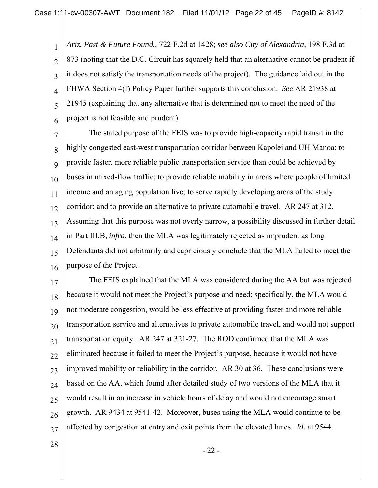1 2 3 4 5 6 *Ariz. Past & Future Found.*, 722 F.2d at 1428; *see also City of Alexandria*, 198 F.3d at 873 (noting that the D.C. Circuit has squarely held that an alternative cannot be prudent if it does not satisfy the transportation needs of the project). The guidance laid out in the FHWA Section 4(f) Policy Paper further supports this conclusion. *See* AR 21938 at 21945 (explaining that any alternative that is determined not to meet the need of the project is not feasible and prudent).

7 8 9 10 11 12 13 14 15 16 The stated purpose of the FEIS was to provide high-capacity rapid transit in the highly congested east-west transportation corridor between Kapolei and UH Manoa; to provide faster, more reliable public transportation service than could be achieved by buses in mixed-flow traffic; to provide reliable mobility in areas where people of limited income and an aging population live; to serve rapidly developing areas of the study corridor; and to provide an alternative to private automobile travel. AR 247 at 312. Assuming that this purpose was not overly narrow, a possibility discussed in further detail in Part III.B, *infra*, then the MLA was legitimately rejected as imprudent as long Defendants did not arbitrarily and capriciously conclude that the MLA failed to meet the purpose of the Project.

17 18 19 20 21 22 23 24 25 26 27 The FEIS explained that the MLA was considered during the AA but was rejected because it would not meet the Project's purpose and need; specifically, the MLA would not moderate congestion, would be less effective at providing faster and more reliable transportation service and alternatives to private automobile travel, and would not support transportation equity. AR 247 at 321-27. The ROD confirmed that the MLA was eliminated because it failed to meet the Project's purpose, because it would not have improved mobility or reliability in the corridor. AR 30 at 36. These conclusions were based on the AA, which found after detailed study of two versions of the MLA that it would result in an increase in vehicle hours of delay and would not encourage smart growth. AR 9434 at 9541-42. Moreover, buses using the MLA would continue to be affected by congestion at entry and exit points from the elevated lanes. *Id.* at 9544.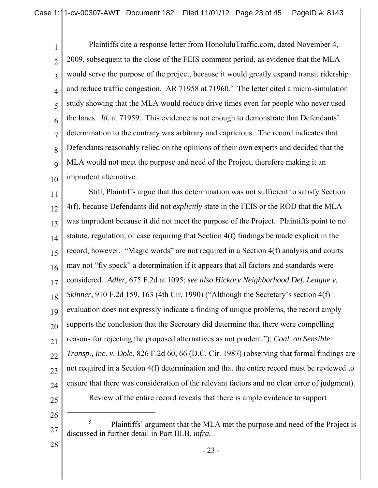1 2 3 4 5 6 7 8 9 10 Plaintiffs cite a response letter from HonoluluTraffic.com, dated November 4, 2009, subsequent to the close of the FEIS comment period, as evidence that the MLA would serve the purpose of the project, because it would greatly expand transit ridership and reduce traffic congestion. AR 71958 at  $71960$ .<sup>5</sup> The letter cited a micro-simulation study showing that the MLA would reduce drive times even for people who never used the lanes. *Id.* at 71959. This evidence is not enough to demonstrate that Defendants' determination to the contrary was arbitrary and capricious. The record indicates that Defendants reasonably relied on the opinions of their own experts and decided that the MLA would not meet the purpose and need of the Project, therefore making it an imprudent alternative.

11 12 13 14 15 16 17 18 19 20 21 22 23 24 25 Still, Plaintiffs argue that this determination was not sufficient to satisfy Section 4(f), because Defendants did not *explicitly* state in the FEIS or the ROD that the MLA was imprudent because it did not meet the purpose of the Project. Plaintiffs point to no statute, regulation, or case requiring that Section 4(f) findings be made explicit in the record, however. "Magic words" are not required in a Section 4(f) analysis and courts may not "fly speck" a determination if it appears that all factors and standards were considered. *Adler*, 675 F.2d at 1095; *see also Hickory Neighborhood Def. League v. Skinner*, 910 F.2d 159, 163 (4th Cir. 1990) ("Although the Secretary's section 4(f) evaluation does not expressly indicate a finding of unique problems, the record amply supports the conclusion that the Secretary did determine that there were compelling reasons for rejecting the proposed alternatives as not prudent."); *Coal. on Sensible Transp., Inc. v. Dole*, 826 F.2d 60, 66 (D.C. Cir. 1987) (observing that formal findings are not required in a Section 4(f) determination and that the entire record must be reviewed to ensure that there was consideration of the relevant factors and no clear error of judgment). Review of the entire record reveals that there is ample evidence to support

26

<sup>27</sup> <sup>5</sup> Plaintiffs' argument that the MLA met the purpose and need of the Project is discussed in further detail in Part III.B, *infra.*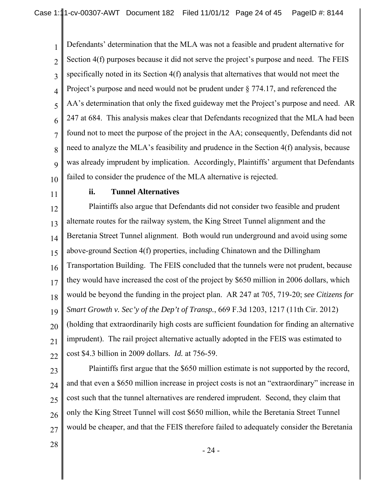1 2 3 4 5 6 7 8 9 10 Defendants' determination that the MLA was not a feasible and prudent alternative for Section 4(f) purposes because it did not serve the project's purpose and need. The FEIS specifically noted in its Section 4(f) analysis that alternatives that would not meet the Project's purpose and need would not be prudent under § 774.17, and referenced the AA's determination that only the fixed guideway met the Project's purpose and need. AR 247 at 684. This analysis makes clear that Defendants recognized that the MLA had been found not to meet the purpose of the project in the AA; consequently, Defendants did not need to analyze the MLA's feasibility and prudence in the Section 4(f) analysis, because was already imprudent by implication. Accordingly, Plaintiffs' argument that Defendants failed to consider the prudence of the MLA alternative is rejected.

11

#### **ii. Tunnel Alternatives**

12 13 14 15 16 17 18 19 20 21 22 Plaintiffs also argue that Defendants did not consider two feasible and prudent alternate routes for the railway system, the King Street Tunnel alignment and the Beretania Street Tunnel alignment. Both would run underground and avoid using some above-ground Section 4(f) properties, including Chinatown and the Dillingham Transportation Building. The FEIS concluded that the tunnels were not prudent, because they would have increased the cost of the project by \$650 million in 2006 dollars, which would be beyond the funding in the project plan. AR 247 at 705, 719-20; *see Citizens for Smart Growth v. Sec'y of the Dep't of Transp.*, 669 F.3d 1203, 1217 (11th Cir. 2012) (holding that extraordinarily high costs are sufficient foundation for finding an alternative imprudent). The rail project alternative actually adopted in the FEIS was estimated to cost \$4.3 billion in 2009 dollars. *Id.* at 756-59.

23

24 25 26 27 Plaintiffs first argue that the \$650 million estimate is not supported by the record, and that even a \$650 million increase in project costs is not an "extraordinary" increase in cost such that the tunnel alternatives are rendered imprudent. Second, they claim that only the King Street Tunnel will cost \$650 million, while the Beretania Street Tunnel would be cheaper, and that the FEIS therefore failed to adequately consider the Beretania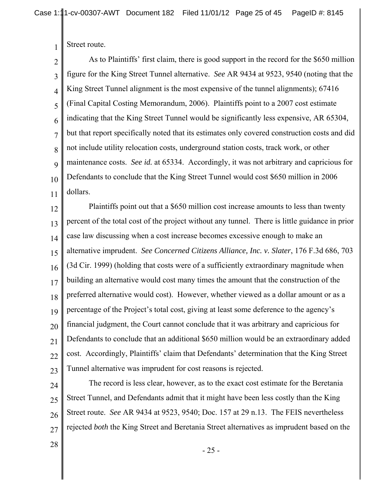Street route.

1

2 3 4 5 6 7 8 9 10 11 As to Plaintiffs' first claim, there is good support in the record for the \$650 million figure for the King Street Tunnel alternative. *See* AR 9434 at 9523, 9540 (noting that the King Street Tunnel alignment is the most expensive of the tunnel alignments); 67416 (Final Capital Costing Memorandum, 2006). Plaintiffs point to a 2007 cost estimate indicating that the King Street Tunnel would be significantly less expensive, AR 65304, but that report specifically noted that its estimates only covered construction costs and did not include utility relocation costs, underground station costs, track work, or other maintenance costs. *See id.* at 65334. Accordingly, it was not arbitrary and capricious for Defendants to conclude that the King Street Tunnel would cost \$650 million in 2006 dollars.

12 13 14 15 16 17 18 19 20 21 22 23 Plaintiffs point out that a \$650 million cost increase amounts to less than twenty percent of the total cost of the project without any tunnel. There is little guidance in prior case law discussing when a cost increase becomes excessive enough to make an alternative imprudent. *See Concerned Citizens Alliance, Inc. v. Slater*, 176 F.3d 686, 703 (3d Cir. 1999) (holding that costs were of a sufficiently extraordinary magnitude when building an alternative would cost many times the amount that the construction of the preferred alternative would cost). However, whether viewed as a dollar amount or as a percentage of the Project's total cost, giving at least some deference to the agency's financial judgment, the Court cannot conclude that it was arbitrary and capricious for Defendants to conclude that an additional \$650 million would be an extraordinary added cost. Accordingly, Plaintiffs' claim that Defendants' determination that the King Street Tunnel alternative was imprudent for cost reasons is rejected.

24 25 26 27 The record is less clear, however, as to the exact cost estimate for the Beretania Street Tunnel, and Defendants admit that it might have been less costly than the King Street route. *See* AR 9434 at 9523, 9540; Doc. 157 at 29 n.13. The FEIS nevertheless rejected *both* the King Street and Beretania Street alternatives as imprudent based on the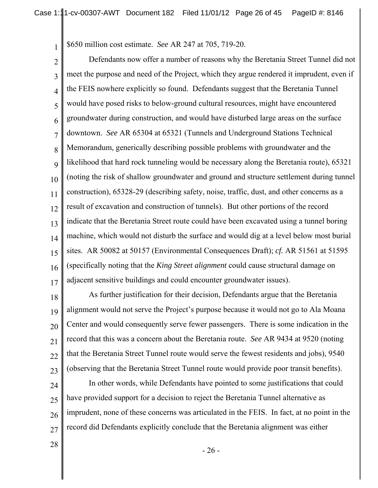\$650 million cost estimate. *See* AR 247 at 705, 719-20.

1

2 3 4 5 6 7 8 9 10 11 12 13 14 15 16 17 Defendants now offer a number of reasons why the Beretania Street Tunnel did not meet the purpose and need of the Project, which they argue rendered it imprudent, even if the FEIS nowhere explicitly so found. Defendants suggest that the Beretania Tunnel would have posed risks to below-ground cultural resources, might have encountered groundwater during construction, and would have disturbed large areas on the surface downtown. *See* AR 65304 at 65321 (Tunnels and Underground Stations Technical Memorandum, generically describing possible problems with groundwater and the likelihood that hard rock tunneling would be necessary along the Beretania route), 65321 (noting the risk of shallow groundwater and ground and structure settlement during tunnel construction), 65328-29 (describing safety, noise, traffic, dust, and other concerns as a result of excavation and construction of tunnels). But other portions of the record indicate that the Beretania Street route could have been excavated using a tunnel boring machine, which would not disturb the surface and would dig at a level below most burial sites. AR 50082 at 50157 (Environmental Consequences Draft); *cf.* AR 51561 at 51595 (specifically noting that the *King Street alignment* could cause structural damage on adjacent sensitive buildings and could encounter groundwater issues).

18 19 20 21 22 23 As further justification for their decision, Defendants argue that the Beretania alignment would not serve the Project's purpose because it would not go to Ala Moana Center and would consequently serve fewer passengers. There is some indication in the record that this was a concern about the Beretania route. *See* AR 9434 at 9520 (noting that the Beretania Street Tunnel route would serve the fewest residents and jobs), 9540 (observing that the Beretania Street Tunnel route would provide poor transit benefits).

24 25 26 27 In other words, while Defendants have pointed to some justifications that could have provided support for a decision to reject the Beretania Tunnel alternative as imprudent, none of these concerns was articulated in the FEIS. In fact, at no point in the record did Defendants explicitly conclude that the Beretania alignment was either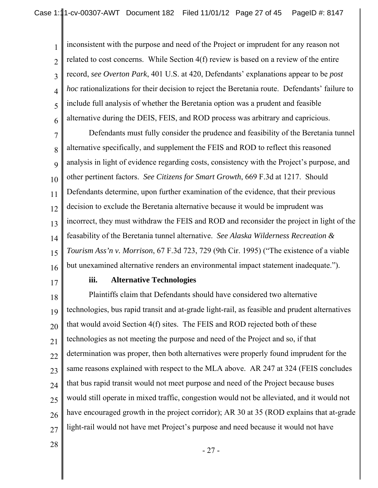1 2 3 4 5 6 inconsistent with the purpose and need of the Project or imprudent for any reason not related to cost concerns. While Section 4(f) review is based on a review of the entire record, *see Overton Park*, 401 U.S. at 420, Defendants' explanations appear to be *post hoc* rationalizations for their decision to reject the Beretania route. Defendants' failure to include full analysis of whether the Beretania option was a prudent and feasible alternative during the DEIS, FEIS, and ROD process was arbitrary and capricious.

7 8 9 10 11 12 13 14 15 16 Defendants must fully consider the prudence and feasibility of the Beretania tunnel alternative specifically, and supplement the FEIS and ROD to reflect this reasoned analysis in light of evidence regarding costs, consistency with the Project's purpose, and other pertinent factors. *See Citizens for Smart Growth*, 669 F.3d at 1217. Should Defendants determine, upon further examination of the evidence, that their previous decision to exclude the Beretania alternative because it would be imprudent was incorrect, they must withdraw the FEIS and ROD and reconsider the project in light of the feasability of the Beretania tunnel alternative. *See Alaska Wilderness Recreation & Tourism Ass'n v. Morrison*, 67 F.3d 723, 729 (9th Cir. 1995) ("The existence of a viable but unexamined alternative renders an environmental impact statement inadequate.").

17

#### **iii. Alternative Technologies**

18 19 20 21 22 23 24 25 26 27 Plaintiffs claim that Defendants should have considered two alternative technologies, bus rapid transit and at-grade light-rail, as feasible and prudent alternatives that would avoid Section 4(f) sites. The FEIS and ROD rejected both of these technologies as not meeting the purpose and need of the Project and so, if that determination was proper, then both alternatives were properly found imprudent for the same reasons explained with respect to the MLA above. AR 247 at 324 (FEIS concludes that bus rapid transit would not meet purpose and need of the Project because buses would still operate in mixed traffic, congestion would not be alleviated, and it would not have encouraged growth in the project corridor); AR 30 at 35 (ROD explains that at-grade light-rail would not have met Project's purpose and need because it would not have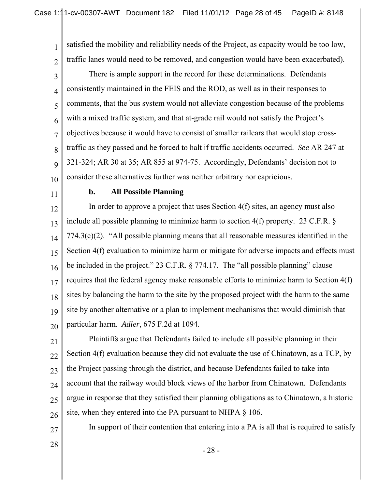1 2 satisfied the mobility and reliability needs of the Project, as capacity would be too low, traffic lanes would need to be removed, and congestion would have been exacerbated).

3 4 5 6 7 8 9 10 There is ample support in the record for these determinations. Defendants consistently maintained in the FEIS and the ROD, as well as in their responses to comments, that the bus system would not alleviate congestion because of the problems with a mixed traffic system, and that at-grade rail would not satisfy the Project's objectives because it would have to consist of smaller railcars that would stop crosstraffic as they passed and be forced to halt if traffic accidents occurred. *See* AR 247 at 321-324; AR 30 at 35; AR 855 at 974-75. Accordingly, Defendants' decision not to consider these alternatives further was neither arbitrary nor capricious.

11

#### **b. All Possible Planning**

12 13 14 15 16 17 18 19 20 In order to approve a project that uses Section 4(f) sites, an agency must also include all possible planning to minimize harm to section 4(f) property. 23 C.F.R. § 774.3(c)(2). "All possible planning means that all reasonable measures identified in the Section 4(f) evaluation to minimize harm or mitigate for adverse impacts and effects must be included in the project." 23 C.F.R. § 774.17. The "all possible planning" clause requires that the federal agency make reasonable efforts to minimize harm to Section 4(f) sites by balancing the harm to the site by the proposed project with the harm to the same site by another alternative or a plan to implement mechanisms that would diminish that particular harm. *Adler*, 675 F.2d at 1094.

21 22 23 24 25 26 Plaintiffs argue that Defendants failed to include all possible planning in their Section 4(f) evaluation because they did not evaluate the use of Chinatown, as a TCP, by the Project passing through the district, and because Defendants failed to take into account that the railway would block views of the harbor from Chinatown.Defendants argue in response that they satisfied their planning obligations as to Chinatown, a historic site, when they entered into the PA pursuant to NHPA § 106.

In support of their contention that entering into a PA is all that is required to satisfy

28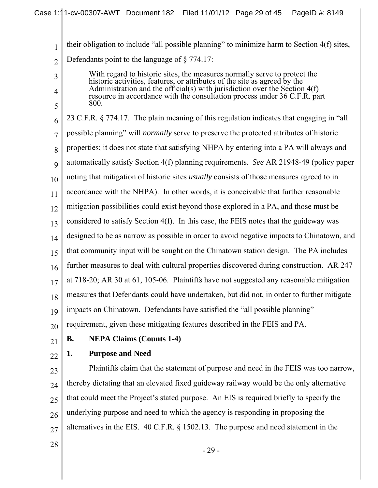their obligation to include "all possible planning" to minimize harm to Section 4(f) sites, Defendants point to the language of § 774.17:

With regard to historic sites, the measures normally serve to protect the historic activities, features, or attributes of the site as agreed by the Administration and the official(s) with jurisdiction over the Section 4(f) resource in accordance with the consultation process under 36 C.F.R. part 800.

6 7 8 9 10 11 12 13 14 15 16 17 18 19 20 23 C.F.R. § 774.17. The plain meaning of this regulation indicates that engaging in "all possible planning" will *normally* serve to preserve the protected attributes of historic properties; it does not state that satisfying NHPA by entering into a PA will always and automatically satisfy Section 4(f) planning requirements. *See* AR 21948-49 (policy paper noting that mitigation of historic sites *usually* consists of those measures agreed to in accordance with the NHPA). In other words, it is conceivable that further reasonable mitigation possibilities could exist beyond those explored in a PA, and those must be considered to satisfy Section 4(f). In this case, the FEIS notes that the guideway was designed to be as narrow as possible in order to avoid negative impacts to Chinatown, and that community input will be sought on the Chinatown station design. The PA includes further measures to deal with cultural properties discovered during construction. AR 247 at 718-20; AR 30 at 61, 105-06. Plaintiffs have not suggested any reasonable mitigation measures that Defendants could have undertaken, but did not, in order to further mitigate impacts on Chinatown. Defendants have satisfied the "all possible planning" requirement, given these mitigating features described in the FEIS and PA.

21 **B. NEPA Claims (Counts 1-4)**

#### 22 **1. Purpose and Need**

23

1

2

3

4

5

24 25 26 27 Plaintiffs claim that the statement of purpose and need in the FEIS was too narrow, thereby dictating that an elevated fixed guideway railway would be the only alternative that could meet the Project's stated purpose. An EIS is required briefly to specify the underlying purpose and need to which the agency is responding in proposing the alternatives in the EIS. 40 C.F.R. § 1502.13. The purpose and need statement in the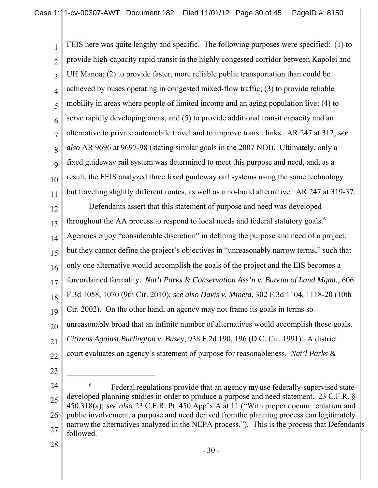1 2 3 4 5 6 7 8 9 10 11 FEIS here was quite lengthy and specific. The following purposes were specified: (1) to provide high-capacity rapid transit in the highly congested corridor between Kapolei and UH Manoa; (2) to provide faster, more reliable public transportation than could be achieved by buses operating in congested mixed-flow traffic; (3) to provide reliable mobility in areas where people of limited income and an aging population live; (4) to serve rapidly developing areas; and (5) to provide additional transit capacity and an alternative to private automobile travel and to improve transit links. AR 247 at 312; *see also* AR 9696 at 9697-98 (stating similar goals in the 2007 NOI). Ultimately, only a fixed guideway rail system was determined to meet this purpose and need, and, as a result, the FEIS analyzed three fixed guideway rail systems using the same technology but traveling slightly different routes, as well as a no-build alternative. AR 247 at 319-37.

12 13 14 15 16 17 18 19 20 21 22 Defendants assert that this statement of purpose and need was developed throughout the AA process to respond to local needs and federal statutory goals.<sup>6</sup> Agencies enjoy "considerable discretion" in defining the purpose and need of a project, but they cannot define the project's objectives in "unreasonably narrow terms," such that only one alternative would accomplish the goals of the project and the EIS becomes a foreordained formality. *Nat'l Parks & Conservation Ass'n v. Bureau of Land Mgmt.*, 606 F.3d 1058, 1070 (9th Cir. 2010); *see also Davis v. Mineta*, 302 F.3d 1104, 1118-20 (10th Cir. 2002). On the other hand, an agency may not frame its goals in terms so unreasonably broad that an infinite number of alternatives would accomplish those goals. *Citizens Against Burlington v. Busey*, 938 F.2d 190, 196 (D.C. Cir. 1991). A district court evaluates an agency's statement of purpose for reasonableness. *Nat'l Parks &*

23

<sup>24</sup> 25 26 27 Federal regulations provide that an agency may use federally-supervised statedeveloped planning studies in order to produce a purpose and need statement. 23 C.F.R. § 450.318(a); *see also* 23 C.F.R. Pt. 450 App'x A at 11 ("With proper docum entation and public involvement, a purpose and need derived from the planning process can legitimately narrow the alternatives analyzed in the NEPA process."). This is the process that Defendants followed.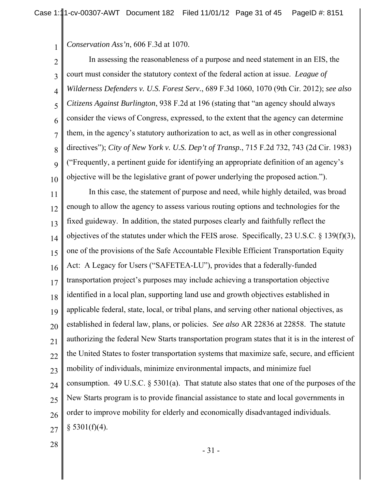*Conservation Ass'n*, 606 F.3d at 1070.

1

2 3 4 5 6 7 8 9 10 11 12 13 14 15 16 17 18 19 20 21 22 23 24 25 26 27 In assessing the reasonableness of a purpose and need statement in an EIS, the court must consider the statutory context of the federal action at issue. *League of Wilderness Defenders v. U.S. Forest Serv.*, 689 F.3d 1060, 1070 (9th Cir. 2012); *see also Citizens Against Burlington*, 938 F.2d at 196 (stating that "an agency should always consider the views of Congress, expressed, to the extent that the agency can determine them, in the agency's statutory authorization to act, as well as in other congressional directives"); *City of New York v. U.S. Dep't of Transp.*, 715 F.2d 732, 743 (2d Cir. 1983) ("Frequently, a pertinent guide for identifying an appropriate definition of an agency's objective will be the legislative grant of power underlying the proposed action."). In this case, the statement of purpose and need, while highly detailed, was broad enough to allow the agency to assess various routing options and technologies for the fixed guideway. In addition, the stated purposes clearly and faithfully reflect the objectives of the statutes under which the FEIS arose. Specifically, 23 U.S.C. § 139(f)(3), one of the provisions of the Safe Accountable Flexible Efficient Transportation Equity Act: A Legacy for Users ("SAFETEA-LU"), provides that a federally-funded transportation project's purposes may include achieving a transportation objective identified in a local plan, supporting land use and growth objectives established in applicable federal, state, local, or tribal plans, and serving other national objectives, as established in federal law, plans, or policies. *See also* AR 22836 at 22858. The statute authorizing the federal New Starts transportation program states that it is in the interest of the United States to foster transportation systems that maximize safe, secure, and efficient mobility of individuals, minimize environmental impacts, and minimize fuel consumption. 49 U.S.C. § 5301(a). That statute also states that one of the purposes of the New Starts program is to provide financial assistance to state and local governments in order to improve mobility for elderly and economically disadvantaged individuals.  $§$  5301(f)(4).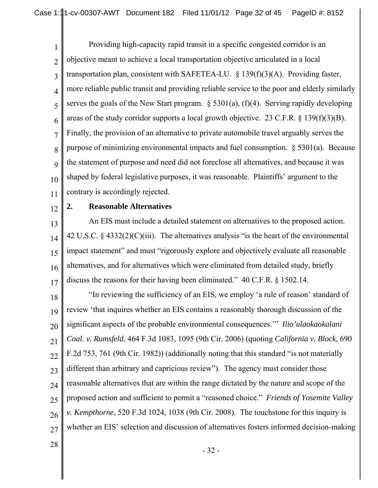1 2 3 4 5 6 7 8 9 10 11 Providing high-capacity rapid transit in a specific congested corridor is an objective meant to achieve a local transportation objective articulated in a local transportation plan, consistent with SAFETEA-LU. § 139(f)(3)(A). Providing faster, more reliable public transit and providing reliable service to the poor and elderly similarly serves the goals of the New Start program.  $\S$  5301(a), (f)(4). Serving rapidly developing areas of the study corridor supports a local growth objective. 23 C.F.R. § 139(f)(3)(B). Finally, the provision of an alternative to private automobile travel arguably serves the purpose of minimizing environmental impacts and fuel consumption. § 5301(a). Because the statement of purpose and need did not foreclose all alternatives, and because it was shaped by federal legislative purposes, it was reasonable. Plaintiffs' argument to the contrary is accordingly rejected.

12

### **2. Reasonable Alternatives**

13 14 15 16 17 An EIS must include a detailed statement on alternatives to the proposed action. 42 U.S.C. § 4332(2)(C)(iii). The alternatives analysis "is the heart of the environmental impact statement" and must "rigorously explore and objectively evaluate all reasonable alternatives, and for alternatives which were eliminated from detailed study, briefly discuss the reasons for their having been eliminated." 40 C.F.R. § 1502.14.

18 19 20 21 22 23 24 25 26 27 "In reviewing the sufficiency of an EIS, we employ 'a rule of reason' standard of review 'that inquires whether an EIS contains a reasonably thorough discussion of the significant aspects of the probable environmental consequences.'" *Ilio'ulaokaokalani Coal. v. Rumsfeld*, 464 F.3d 1083, 1095 (9th Cir. 2006) (quoting *California v. Block*, 690 F.2d 753, 761 (9th Cir. 1982)) (additionally noting that this standard "is not materially different than arbitrary and capricious review"). The agency must consider those reasonable alternatives that are within the range dictated by the nature and scope of the proposed action and sufficient to permit a "reasoned choice." *Friends of Yosemite Valley v. Kempthorne*, 520 F.3d 1024, 1038 (9th Cir. 2008). The touchstone for this inquiry is whether an EIS' selection and discussion of alternatives fosters informed decision-making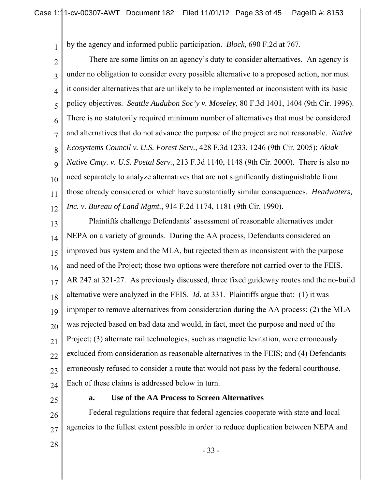by the agency and informed public participation. *Block*, 690 F.2d at 767.

1

2 3 4 5 6 7 8 9 10 11 12 There are some limits on an agency's duty to consider alternatives. An agency is under no obligation to consider every possible alternative to a proposed action, nor must it consider alternatives that are unlikely to be implemented or inconsistent with its basic policy objectives. *Seattle Audubon Soc'y v. Moseley*, 80 F.3d 1401, 1404 (9th Cir. 1996). There is no statutorily required minimum number of alternatives that must be considered and alternatives that do not advance the purpose of the project are not reasonable. *Native Ecosystems Council v. U.S. Forest Serv.*, 428 F.3d 1233, 1246 (9th Cir. 2005); *Akiak Native Cmty. v. U.S. Postal Serv.*, 213 F.3d 1140, 1148 (9th Cir. 2000). There is also no need separately to analyze alternatives that are not significantly distinguishable from those already considered or which have substantially similar consequences. *Headwaters, Inc. v. Bureau of Land Mgmt.*, 914 F.2d 1174, 1181 (9th Cir. 1990).

13 14 15 16 17 18 19 20 21 22 23  $24$ Plaintiffs challenge Defendants' assessment of reasonable alternatives under NEPA on a variety of grounds. During the AA process, Defendants considered an improved bus system and the MLA, but rejected them as inconsistent with the purpose and need of the Project; those two options were therefore not carried over to the FEIS. AR 247 at 321-27. As previously discussed, three fixed guideway routes and the no-build alternative were analyzed in the FEIS. *Id.* at 331. Plaintiffs argue that: (1) it was improper to remove alternatives from consideration during the AA process; (2) the MLA was rejected based on bad data and would, in fact, meet the purpose and need of the Project; (3) alternate rail technologies, such as magnetic levitation, were erroneously excluded from consideration as reasonable alternatives in the FEIS; and (4) Defendants erroneously refused to consider a route that would not pass by the federal courthouse. Each of these claims is addressed below in turn.

25

#### **a. Use of the AA Process to Screen Alternatives**

26 27 Federal regulations require that federal agencies cooperate with state and local agencies to the fullest extent possible in order to reduce duplication between NEPA and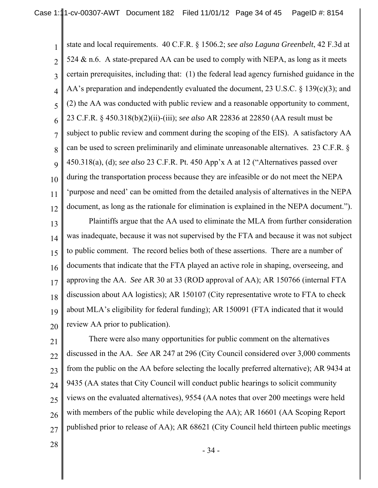1 2 3 4 5 6 7 8 9 10 11 12 state and local requirements. 40 C.F.R. § 1506.2; *see also Laguna Greenbelt*, 42 F.3d at 524  $\&$  n.6. A state-prepared AA can be used to comply with NEPA, as long as it meets certain prerequisites, including that: (1) the federal lead agency furnished guidance in the AA's preparation and independently evaluated the document, 23 U.S.C. § 139(c)(3); and (2) the AA was conducted with public review and a reasonable opportunity to comment, 23 C.F.R. § 450.318(b)(2)(ii)-(iii); *see also* AR 22836 at 22850 (AA result must be subject to public review and comment during the scoping of the EIS). A satisfactory AA can be used to screen preliminarily and eliminate unreasonable alternatives. 23 C.F.R. § 450.318(a), (d); *see also* 23 C.F.R. Pt. 450 App'x A at 12 ("Alternatives passed over during the transportation process because they are infeasible or do not meet the NEPA 'purpose and need' can be omitted from the detailed analysis of alternatives in the NEPA document, as long as the rationale for elimination is explained in the NEPA document.").

13 14 15 16 17 18 19 20 Plaintiffs argue that the AA used to eliminate the MLA from further consideration was inadequate, because it was not supervised by the FTA and because it was not subject to public comment. The record belies both of these assertions. There are a number of documents that indicate that the FTA played an active role in shaping, overseeing, and approving the AA. *See* AR 30 at 33 (ROD approval of AA); AR 150766 (internal FTA discussion about AA logistics); AR 150107 (City representative wrote to FTA to check about MLA's eligibility for federal funding); AR 150091 (FTA indicated that it would review AA prior to publication).

21 22 23 24 25 26 27 There were also many opportunities for public comment on the alternatives discussed in the AA. *See* AR 247 at 296 (City Council considered over 3,000 comments from the public on the AA before selecting the locally preferred alternative); AR 9434 at 9435 (AA states that City Council will conduct public hearings to solicit community views on the evaluated alternatives), 9554 (AA notes that over 200 meetings were held with members of the public while developing the AA); AR 16601 (AA Scoping Report published prior to release of AA); AR 68621 (City Council held thirteen public meetings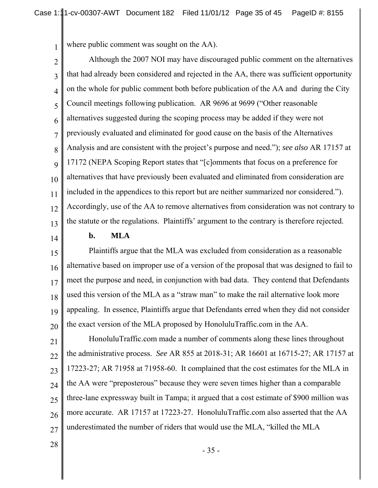where public comment was sought on the AA).

2 3 4 5 6 7 8 9 10 11 12 13 Although the 2007 NOI may have discouraged public comment on the alternatives that had already been considered and rejected in the AA, there was sufficient opportunity on the whole for public comment both before publication of the AA and during the City Council meetings following publication. AR 9696 at 9699 ("Other reasonable alternatives suggested during the scoping process may be added if they were not previously evaluated and eliminated for good cause on the basis of the Alternatives Analysis and are consistent with the project's purpose and need."); *see also* AR 17157 at 17172 (NEPA Scoping Report states that "[c]omments that focus on a preference for alternatives that have previously been evaluated and eliminated from consideration are included in the appendices to this report but are neither summarized nor considered."). Accordingly, use of the AA to remove alternatives from consideration was not contrary to the statute or the regulations. Plaintiffs' argument to the contrary is therefore rejected.

14

1

### **b. MLA**

15 16 17 18 19 20 Plaintiffs argue that the MLA was excluded from consideration as a reasonable alternative based on improper use of a version of the proposal that was designed to fail to meet the purpose and need, in conjunction with bad data. They contend that Defendants used this version of the MLA as a "straw man" to make the rail alternative look more appealing. In essence, Plaintiffs argue that Defendants erred when they did not consider the exact version of the MLA proposed by HonoluluTraffic.com in the AA.

21 22 23 24 25 26 27 HonoluluTraffic.com made a number of comments along these lines throughout the administrative process. *See* AR 855 at 2018-31; AR 16601 at 16715-27; AR 17157 at 17223-27; AR 71958 at 71958-60. It complained that the cost estimates for the MLA in the AA were "preposterous" because they were seven times higher than a comparable three-lane expressway built in Tampa; it argued that a cost estimate of \$900 million was more accurate. AR 17157 at 17223-27. HonoluluTraffic.com also asserted that the AA underestimated the number of riders that would use the MLA, "killed the MLA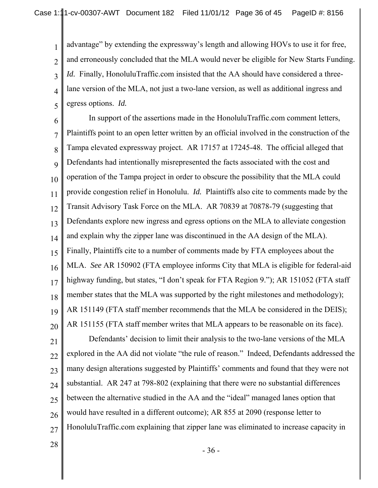3 4 5 advantage" by extending the expressway's length and allowing HOVs to use it for free, and erroneously concluded that the MLA would never be eligible for New Starts Funding. *Id.* Finally, HonoluluTraffic.com insisted that the AA should have considered a threelane version of the MLA, not just a two-lane version, as well as additional ingress and egress options. *Id.*

6 7 8 9 10 11 12 13 14 15 16 17 18 19 20 In support of the assertions made in the HonoluluTraffic.com comment letters, Plaintiffs point to an open letter written by an official involved in the construction of the Tampa elevated expressway project. AR 17157 at 17245-48. The official alleged that Defendants had intentionally misrepresented the facts associated with the cost and operation of the Tampa project in order to obscure the possibility that the MLA could provide congestion relief in Honolulu. *Id.* Plaintiffs also cite to comments made by the Transit Advisory Task Force on the MLA. AR 70839 at 70878-79 (suggesting that Defendants explore new ingress and egress options on the MLA to alleviate congestion and explain why the zipper lane was discontinued in the AA design of the MLA). Finally, Plaintiffs cite to a number of comments made by FTA employees about the MLA. *See* AR 150902 (FTA employee informs City that MLA is eligible for federal-aid highway funding, but states, "I don't speak for FTA Region 9."); AR 151052 (FTA staff member states that the MLA was supported by the right milestones and methodology); AR 151149 (FTA staff member recommends that the MLA be considered in the DEIS); AR 151155 (FTA staff member writes that MLA appears to be reasonable on its face).

21 22 23 24 25 26 27 Defendants' decision to limit their analysis to the two-lane versions of the MLA explored in the AA did not violate "the rule of reason." Indeed, Defendants addressed the many design alterations suggested by Plaintiffs' comments and found that they were not substantial. AR 247 at 798-802 (explaining that there were no substantial differences between the alternative studied in the AA and the "ideal" managed lanes option that would have resulted in a different outcome); AR 855 at 2090 (response letter to HonoluluTraffic.com explaining that zipper lane was eliminated to increase capacity in

28

1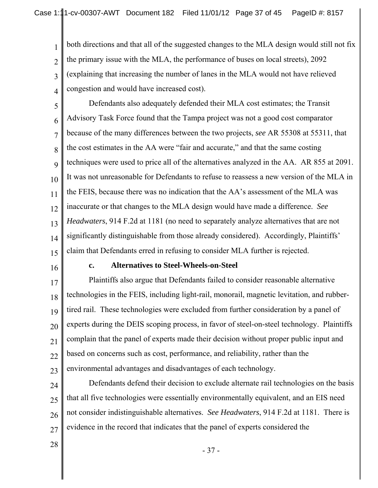both directions and that all of the suggested changes to the MLA design would still not fix the primary issue with the MLA, the performance of buses on local streets), 2092 (explaining that increasing the number of lanes in the MLA would not have relieved congestion and would have increased cost).

5 6 7 8 9 10 11 12 13 14 15 Defendants also adequately defended their MLA cost estimates; the Transit Advisory Task Force found that the Tampa project was not a good cost comparator because of the many differences between the two projects, *see* AR 55308 at 55311, that the cost estimates in the AA were "fair and accurate," and that the same costing techniques were used to price all of the alternatives analyzed in the AA. AR 855 at 2091. It was not unreasonable for Defendants to refuse to reassess a new version of the MLA in the FEIS, because there was no indication that the AA's assessment of the MLA was inaccurate or that changes to the MLA design would have made a difference. *See Headwaters*, 914 F.2d at 1181 (no need to separately analyze alternatives that are not significantly distinguishable from those already considered). Accordingly, Plaintiffs' claim that Defendants erred in refusing to consider MLA further is rejected.

16

1

2

3

4

#### **c. Alternatives to Steel-Wheels-on-Steel**

17 18 19 20 21 22 23 Plaintiffs also argue that Defendants failed to consider reasonable alternative technologies in the FEIS, including light-rail, monorail, magnetic levitation, and rubbertired rail. These technologies were excluded from further consideration by a panel of experts during the DEIS scoping process, in favor of steel-on-steel technology. Plaintiffs complain that the panel of experts made their decision without proper public input and based on concerns such as cost, performance, and reliability, rather than the environmental advantages and disadvantages of each technology.

24 25 26 27 Defendants defend their decision to exclude alternate rail technologies on the basis that all five technologies were essentially environmentally equivalent, and an EIS need not consider indistinguishable alternatives. *See Headwaters*, 914 F.2d at 1181. There is evidence in the record that indicates that the panel of experts considered the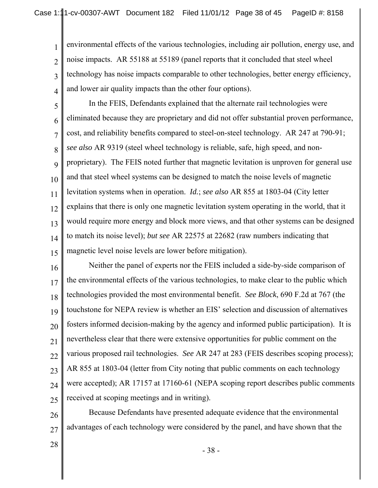1 2 3 4 environmental effects of the various technologies, including air pollution, energy use, and noise impacts. AR 55188 at 55189 (panel reports that it concluded that steel wheel technology has noise impacts comparable to other technologies, better energy efficiency, and lower air quality impacts than the other four options).

5

6 7 8 9 10 11 12 13 14 15 In the FEIS, Defendants explained that the alternate rail technologies were eliminated because they are proprietary and did not offer substantial proven performance, cost, and reliability benefits compared to steel-on-steel technology. AR 247 at 790-91; *see also* AR 9319 (steel wheel technology is reliable, safe, high speed, and nonproprietary). The FEIS noted further that magnetic levitation is unproven for general use and that steel wheel systems can be designed to match the noise levels of magnetic levitation systems when in operation. *Id.*; *see also* AR 855 at 1803-04 (City letter explains that there is only one magnetic levitation system operating in the world, that it would require more energy and block more views, and that other systems can be designed to match its noise level); *but see* AR 22575 at 22682 (raw numbers indicating that magnetic level noise levels are lower before mitigation).

16 17 18 19 20 21 22 23 24 25 Neither the panel of experts nor the FEIS included a side-by-side comparison of the environmental effects of the various technologies, to make clear to the public which technologies provided the most environmental benefit. *See Block*, 690 F.2d at 767 (the touchstone for NEPA review is whether an EIS' selection and discussion of alternatives fosters informed decision-making by the agency and informed public participation). It is nevertheless clear that there were extensive opportunities for public comment on the various proposed rail technologies. *See* AR 247 at 283 (FEIS describes scoping process); AR 855 at 1803-04 (letter from City noting that public comments on each technology were accepted); AR 17157 at 17160-61 (NEPA scoping report describes public comments received at scoping meetings and in writing).

26 27 Because Defendants have presented adequate evidence that the environmental advantages of each technology were considered by the panel, and have shown that the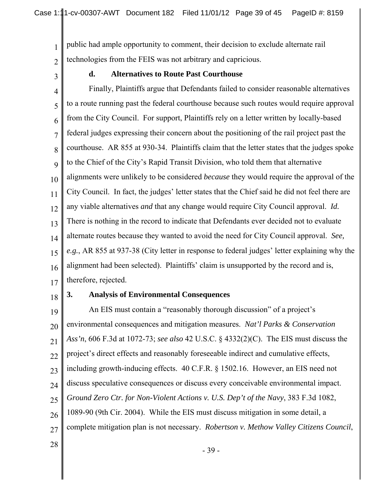public had ample opportunity to comment, their decision to exclude alternate rail technologies from the FEIS was not arbitrary and capricious.

3

1

2

### **d. Alternatives to Route Past Courthouse**

4 5 6 7 8 9 10 11 12 13 14 15 16 17 Finally, Plaintiffs argue that Defendants failed to consider reasonable alternatives to a route running past the federal courthouse because such routes would require approval from the City Council. For support, Plaintiffs rely on a letter written by locally-based federal judges expressing their concern about the positioning of the rail project past the courthouse. AR 855 at 930-34. Plaintiffs claim that the letter states that the judges spoke to the Chief of the City's Rapid Transit Division, who told them that alternative alignments were unlikely to be considered *because* they would require the approval of the City Council. In fact, the judges' letter states that the Chief said he did not feel there are any viable alternatives *and* that any change would require City Council approval. *Id.* There is nothing in the record to indicate that Defendants ever decided not to evaluate alternate routes because they wanted to avoid the need for City Council approval. *See, e.g.*, AR 855 at 937-38 (City letter in response to federal judges' letter explaining why the alignment had been selected). Plaintiffs' claim is unsupported by the record and is, therefore, rejected.

18

#### **3. Analysis of Environmental Consequences**

19 20 21 22 23 24 25 26 27 An EIS must contain a "reasonably thorough discussion" of a project's environmental consequences and mitigation measures. *Nat'l Parks & Conservation Ass'n*, 606 F.3d at 1072-73; *see also* 42 U.S.C. § 4332(2)(C). The EIS must discuss the project's direct effects and reasonably foreseeable indirect and cumulative effects, including growth-inducing effects. 40 C.F.R. § 1502.16. However, an EIS need not discuss speculative consequences or discuss every conceivable environmental impact. *Ground Zero Ctr. for Non-Violent Actions v. U.S. Dep't of the Navy*, 383 F.3d 1082, 1089-90 (9th Cir. 2004). While the EIS must discuss mitigation in some detail, a complete mitigation plan is not necessary. *Robertson v. Methow Valley Citizens Council*,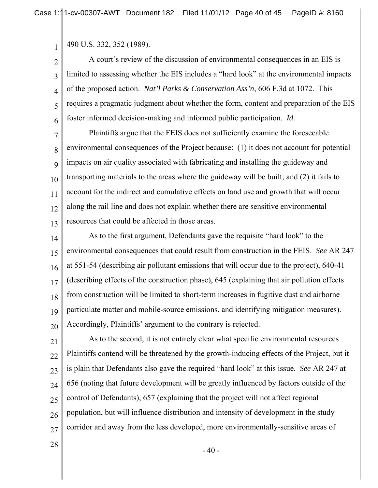490 U.S. 332, 352 (1989).

1

2 3 4 5 6 A court's review of the discussion of environmental consequences in an EIS is limited to assessing whether the EIS includes a "hard look" at the environmental impacts of the proposed action. *Nat'l Parks & Conservation Ass'n*, 606 F.3d at 1072. This requires a pragmatic judgment about whether the form, content and preparation of the EIS foster informed decision-making and informed public participation. *Id.*

7 8 9 10 11 12 13 Plaintiffs argue that the FEIS does not sufficiently examine the foreseeable environmental consequences of the Project because: (1) it does not account for potential impacts on air quality associated with fabricating and installing the guideway and transporting materials to the areas where the guideway will be built; and (2) it fails to account for the indirect and cumulative effects on land use and growth that will occur along the rail line and does not explain whether there are sensitive environmental resources that could be affected in those areas.

14 15 16 17 18 19 20 As to the first argument, Defendants gave the requisite "hard look" to the environmental consequences that could result from construction in the FEIS. *See* AR 247 at 551-54 (describing air pollutant emissions that will occur due to the project), 640-41 (describing effects of the construction phase), 645 (explaining that air pollution effects from construction will be limited to short-term increases in fugitive dust and airborne particulate matter and mobile-source emissions, and identifying mitigation measures). Accordingly, Plaintiffs' argument to the contrary is rejected.

21 22 23 24 25 26 27 As to the second, it is not entirely clear what specific environmental resources Plaintiffs contend will be threatened by the growth-inducing effects of the Project, but it is plain that Defendants also gave the required "hard look" at this issue. *See* AR 247 at 656 (noting that future development will be greatly influenced by factors outside of the control of Defendants), 657 (explaining that the project will not affect regional population, but will influence distribution and intensity of development in the study corridor and away from the less developed, more environmentally-sensitive areas of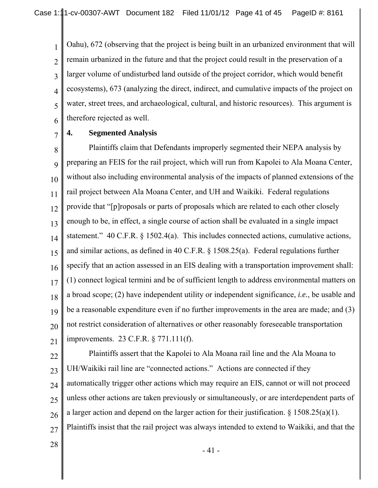3 4 5 Oahu), 672 (observing that the project is being built in an urbanized environment that will remain urbanized in the future and that the project could result in the preservation of a larger volume of undisturbed land outside of the project corridor, which would benefit ecosystems), 673 (analyzing the direct, indirect, and cumulative impacts of the project on water, street trees, and archaeological, cultural, and historic resources). This argument is therefore rejected as well.

#### 7 **4. Segmented Analysis**

1

2

6

8 9 10 11 12 13 14 15 16 17 18 19 20 21 Plaintiffs claim that Defendants improperly segmented their NEPA analysis by preparing an FEIS for the rail project, which will run from Kapolei to Ala Moana Center, without also including environmental analysis of the impacts of planned extensions of the rail project between Ala Moana Center, and UH and Waikiki. Federal regulations provide that "[p]roposals or parts of proposals which are related to each other closely enough to be, in effect, a single course of action shall be evaluated in a single impact statement." 40 C.F.R. § 1502.4(a). This includes connected actions, cumulative actions, and similar actions, as defined in 40 C.F.R. § 1508.25(a). Federal regulations further specify that an action assessed in an EIS dealing with a transportation improvement shall: (1) connect logical termini and be of sufficient length to address environmental matters on a broad scope; (2) have independent utility or independent significance, *i.e.*, be usable and be a reasonable expenditure even if no further improvements in the area are made; and (3) not restrict consideration of alternatives or other reasonably foreseeable transportation improvements. 23 C.F.R. § 771.111(f).

22

23 24 25 26 27 Plaintiffs assert that the Kapolei to Ala Moana rail line and the Ala Moana to UH/Waikiki rail line are "connected actions." Actions are connected if they automatically trigger other actions which may require an EIS, cannot or will not proceed unless other actions are taken previously or simultaneously, or are interdependent parts of a larger action and depend on the larger action for their justification.  $\S 1508.25(a)(1)$ . Plaintiffs insist that the rail project was always intended to extend to Waikiki, and that the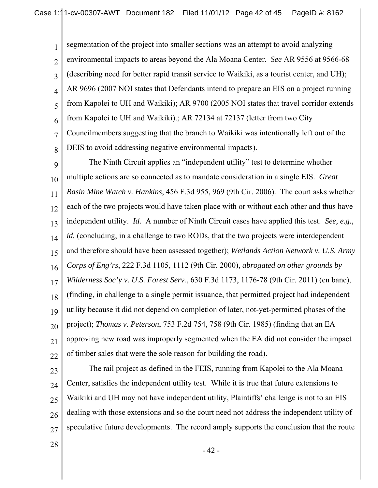1 2 3 4 5 6 7 8 segmentation of the project into smaller sections was an attempt to avoid analyzing environmental impacts to areas beyond the Ala Moana Center. *See* AR 9556 at 9566-68 (describing need for better rapid transit service to Waikiki, as a tourist center, and UH); AR 9696 (2007 NOI states that Defendants intend to prepare an EIS on a project running from Kapolei to UH and Waikiki); AR 9700 (2005 NOI states that travel corridor extends from Kapolei to UH and Waikiki).; AR 72134 at 72137 (letter from two City Councilmembers suggesting that the branch to Waikiki was intentionally left out of the DEIS to avoid addressing negative environmental impacts).

9 10 11 12 13 14 15 16 17 18 19 20 21 22 The Ninth Circuit applies an "independent utility" test to determine whether multiple actions are so connected as to mandate consideration in a single EIS. *Great Basin Mine Watch v. Hankins*, 456 F.3d 955, 969 (9th Cir. 2006). The court asks whether each of the two projects would have taken place with or without each other and thus have independent utility. *Id.* A number of Ninth Circuit cases have applied this test. *See, e.g.*, *id.* (concluding, in a challenge to two RODs, that the two projects were interdependent and therefore should have been assessed together); *Wetlands Action Network v. U.S. Army Corps of Eng'rs*, 222 F.3d 1105, 1112 (9th Cir. 2000), *abrogated on other grounds by Wilderness Soc'y v. U.S. Forest Serv.*, 630 F.3d 1173, 1176-78 (9th Cir. 2011) (en banc), (finding, in challenge to a single permit issuance, that permitted project had independent utility because it did not depend on completion of later, not-yet-permitted phases of the project); *Thomas v. Peterson*, 753 F.2d 754, 758 (9th Cir. 1985) (finding that an EA approving new road was improperly segmented when the EA did not consider the impact of timber sales that were the sole reason for building the road).

23

24 25 26 27 The rail project as defined in the FEIS, running from Kapolei to the Ala Moana Center, satisfies the independent utility test. While it is true that future extensions to Waikiki and UH may not have independent utility, Plaintiffs' challenge is not to an EIS dealing with those extensions and so the court need not address the independent utility of speculative future developments. The record amply supports the conclusion that the route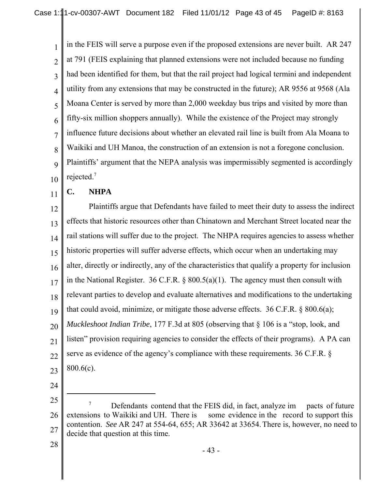1 2 3 4 5 6 7 8 9 10 in the FEIS will serve a purpose even if the proposed extensions are never built. AR 247 at 791 (FEIS explaining that planned extensions were not included because no funding had been identified for them, but that the rail project had logical termini and independent utility from any extensions that may be constructed in the future); AR 9556 at 9568 (Ala Moana Center is served by more than 2,000 weekday bus trips and visited by more than fifty-six million shoppers annually). While the existence of the Project may strongly influence future decisions about whether an elevated rail line is built from Ala Moana to Waikiki and UH Manoa, the construction of an extension is not a foregone conclusion. Plaintiffs' argument that the NEPA analysis was impermissibly segmented is accordingly rejected.7

#### 11 **C. NHPA**

12 13 14 15 16 17 18 19 20 21 22 23 Plaintiffs argue that Defendants have failed to meet their duty to assess the indirect effects that historic resources other than Chinatown and Merchant Street located near the rail stations will suffer due to the project. The NHPA requires agencies to assess whether historic properties will suffer adverse effects, which occur when an undertaking may alter, directly or indirectly, any of the characteristics that qualify a property for inclusion in the National Register. 36 C.F.R. § 800.5(a)(1). The agency must then consult with relevant parties to develop and evaluate alternatives and modifications to the undertaking that could avoid, minimize, or mitigate those adverse effects. 36 C.F.R. § 800.6(a); *Muckleshoot Indian Tribe*, 177 F.3d at 805 (observing that § 106 is a "stop, look, and listen" provision requiring agencies to consider the effects of their programs). A PA can serve as evidence of the agency's compliance with these requirements. 36 C.F.R. § 800.6(c).

24

<sup>25</sup> 26 27 Defendants contend that the FEIS did, in fact, analyze im pacts of future extensions to Waikiki and UH. There is some evidence in the record to support this contention. *See* AR 247 at 554-64, 655; AR 33642 at 33654. There is, however, no need to decide that question at this time.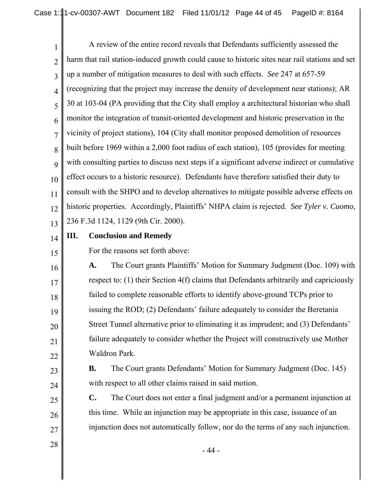1 2 3 4 5 6 7 8 9 10 11 12 13 A review of the entire record reveals that Defendants sufficiently assessed the harm that rail station-induced growth could cause to historic sites near rail stations and set up a number of mitigation measures to deal with such effects. *See* 247 at 657-59 (recognizing that the project may increase the density of development near stations); AR 30 at 103-04 (PA providing that the City shall employ a architectural historian who shall monitor the integration of transit-oriented development and historic preservation in the vicinity of project stations), 104 (City shall monitor proposed demolition of resources built before 1969 within a 2,000 foot radius of each station), 105 (provides for meeting with consulting parties to discuss next steps if a significant adverse indirect or cumulative effect occurs to a historic resource). Defendants have therefore satisfied their duty to consult with the SHPO and to develop alternatives to mitigate possible adverse effects on historic properties. Accordingly, Plaintiffs' NHPA claim is rejected. *See Tyler v. Cuomo*, 236 F.3d 1124, 1129 (9th Cir. 2000).

14

15

16

17

18

19

20

21

22

25

26

# **III. Conclusion and Remedy**

For the reasons set forth above:

**A.** The Court grants Plaintiffs' Motion for Summary Judgment (Doc. 109) with respect to: (1) their Section 4(f) claims that Defendants arbitrarily and capriciously failed to complete reasonable efforts to identify above-ground TCPs prior to issuing the ROD; (2) Defendants' failure adequately to consider the Beretania Street Tunnel alternative prior to eliminating it as imprudent; and (3) Defendants' failure adequately to consider whether the Project will constructively use Mother Waldron Park.

23 24

**B.** The Court grants Defendants' Motion for Summary Judgment (Doc. 145) with respect to all other claims raised in said motion.

**C.** The Court does not enter a final judgment and/or a permanent injunction at this time. While an injunction may be appropriate in this case, issuance of an injunction does not automatically follow, nor do the terms of any such injunction.

28